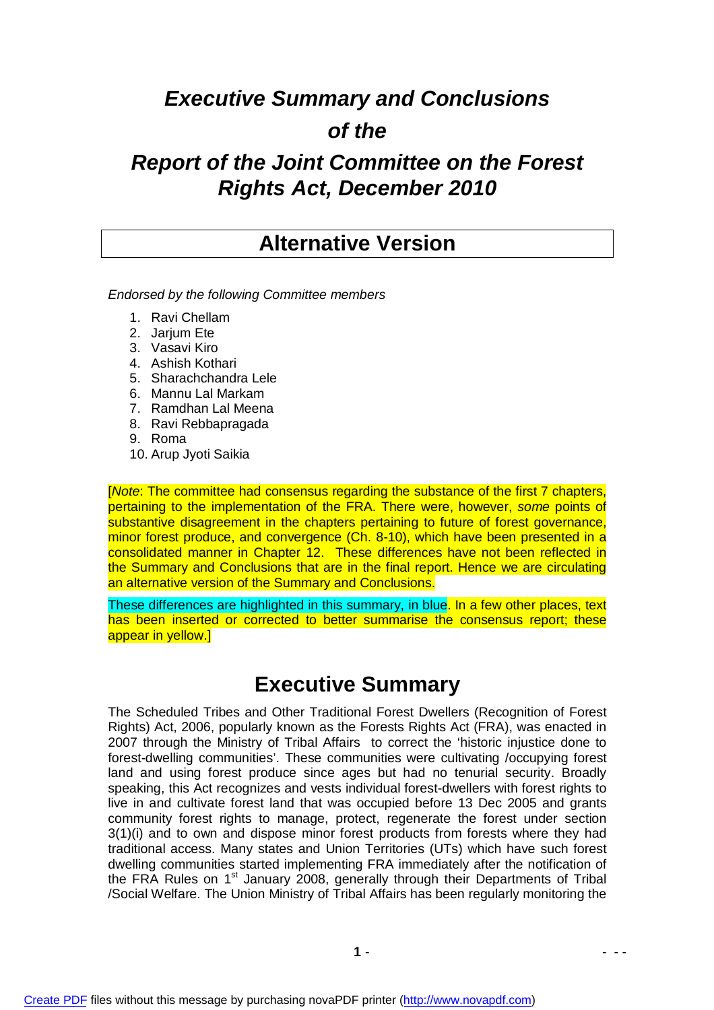# *Executive Summary and Conclusions of the*

# *Report of the Joint Committee on the Forest Rights Act, December 2010*

# **Alternative Version**

*Endorsed by the following Committee members*

- 1. Ravi Chellam
- 2. Jarium Ete
- 3. Vasavi Kiro
- 4. Ashish Kothari
- 5. Sharachchandra Lele
- 6. Mannu Lal Markam
- 7. Ramdhan Lal Meena
- 8. Ravi Rebbapragada
- 9. Roma
- 10. Arup Jyoti Saikia

[*Note*: The committee had consensus regarding the substance of the first 7 chapters, pertaining to the implementation of the FRA. There were, however, *some* points of substantive disagreement in the chapters pertaining to future of forest governance, minor forest produce, and convergence (Ch. 8-10), which have been presented in a consolidated manner in Chapter 12. These differences have not been reflected in the Summary and Conclusions that are in the final report. Hence we are circulating an alternative version of the Summary and Conclusions.

These differences are highlighted in this summary, in blue. In a few other places, text has been inserted or corrected to better summarise the consensus report; these appear in yellow.]

# **Executive Summary**

The Scheduled Tribes and Other Traditional Forest Dwellers (Recognition of Forest Rights) Act, 2006, popularly known as the Forests Rights Act (FRA), was enacted in 2007 through the Ministry of Tribal Affairs to correct the 'historic injustice done to forest-dwelling communities'. These communities were cultivating /occupying forest land and using forest produce since ages but had no tenurial security. Broadly speaking, this Act recognizes and vests individual forest-dwellers with forest rights to live in and cultivate forest land that was occupied before 13 Dec 2005 and grants community forest rights to manage, protect, regenerate the forest under section 3(1)(i) and to own and dispose minor forest products from forests where they had traditional access. Many states and Union Territories (UTs) which have such forest dwelling communities started implementing FRA immediately after the notification of the FRA Rules on 1<sup>st</sup> January 2008, generally through their Departments of Tribal /Social Welfare. The Union Ministry of Tribal Affairs has been regularly monitoring the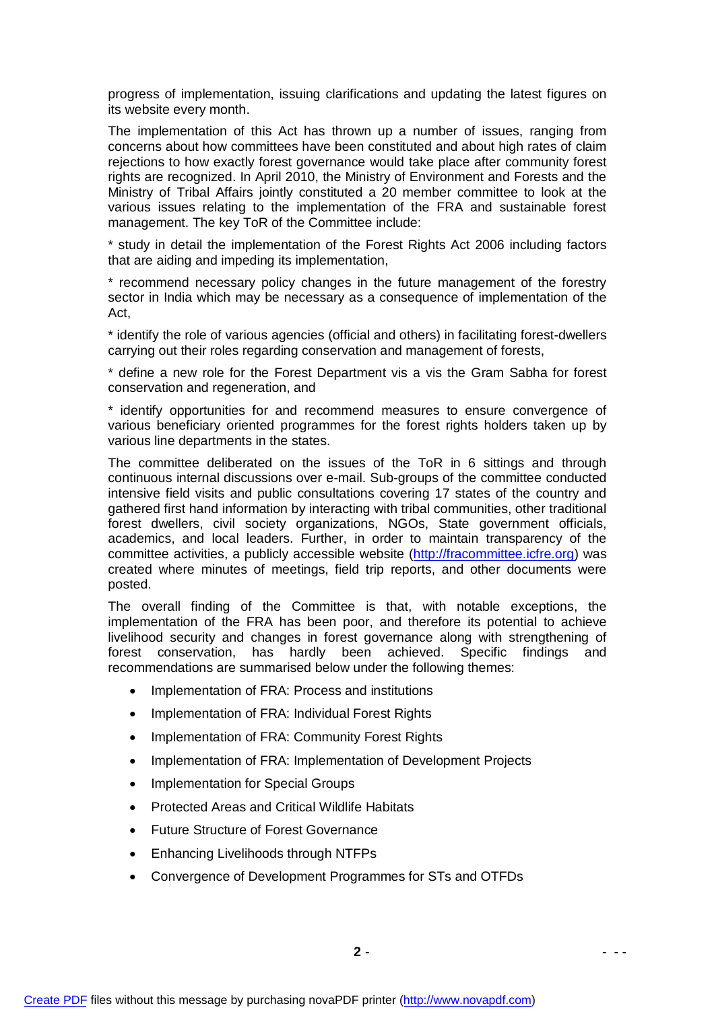progress of implementation, issuing clarifications and updating the latest figures on its website every month.

The implementation of this Act has thrown up a number of issues, ranging from concerns about how committees have been constituted and about high rates of claim rejections to how exactly forest governance would take place after community forest rights are recognized. In April 2010, the Ministry of Environment and Forests and the Ministry of Tribal Affairs jointly constituted a 20 member committee to look at the various issues relating to the implementation of the FRA and sustainable forest management. The key ToR of the Committee include:

\* study in detail the implementation of the Forest Rights Act 2006 including factors that are aiding and impeding its implementation,

\* recommend necessary policy changes in the future management of the forestry sector in India which may be necessary as a consequence of implementation of the Act,

\* identify the role of various agencies (official and others) in facilitating forest-dwellers carrying out their roles regarding conservation and management of forests,

\* define a new role for the Forest Department vis a vis the Gram Sabha for forest conservation and regeneration, and

\* identify opportunities for and recommend measures to ensure convergence of various beneficiary oriented programmes for the forest rights holders taken up by various line departments in the states.

The committee deliberated on the issues of the ToR in 6 sittings and through continuous internal discussions over e-mail. Sub-groups of the committee conducted intensive field visits and public consultations covering 17 states of the country and gathered first hand information by interacting with tribal communities, other traditional forest dwellers, civil society organizations, NGOs, State government officials, academics, and local leaders. Further, in order to maintain transparency of the committee activities, a publicly accessible website [\(http://fracommittee.icfre.org\)](http://fracommittee.icfre.org/) was created where minutes of meetings, field trip reports, and other documents were posted.

The overall finding of the Committee is that, with notable exceptions, the implementation of the FRA has been poor, and therefore its potential to achieve livelihood security and changes in forest governance along with strengthening of forest conservation, has hardly been achieved. Specific findings and recommendations are summarised below under the following themes:

- Implementation of FRA: Process and institutions
- Implementation of FRA: Individual Forest Rights
- Implementation of FRA: Community Forest Rights
- Implementation of FRA: Implementation of Development Projects
- Implementation for Special Groups
- Protected Areas and Critical Wildlife Habitats
- Future Structure of Forest Governance
- Enhancing Livelihoods through NTFPs
- Convergence of Development Programmes for STs and OTFDs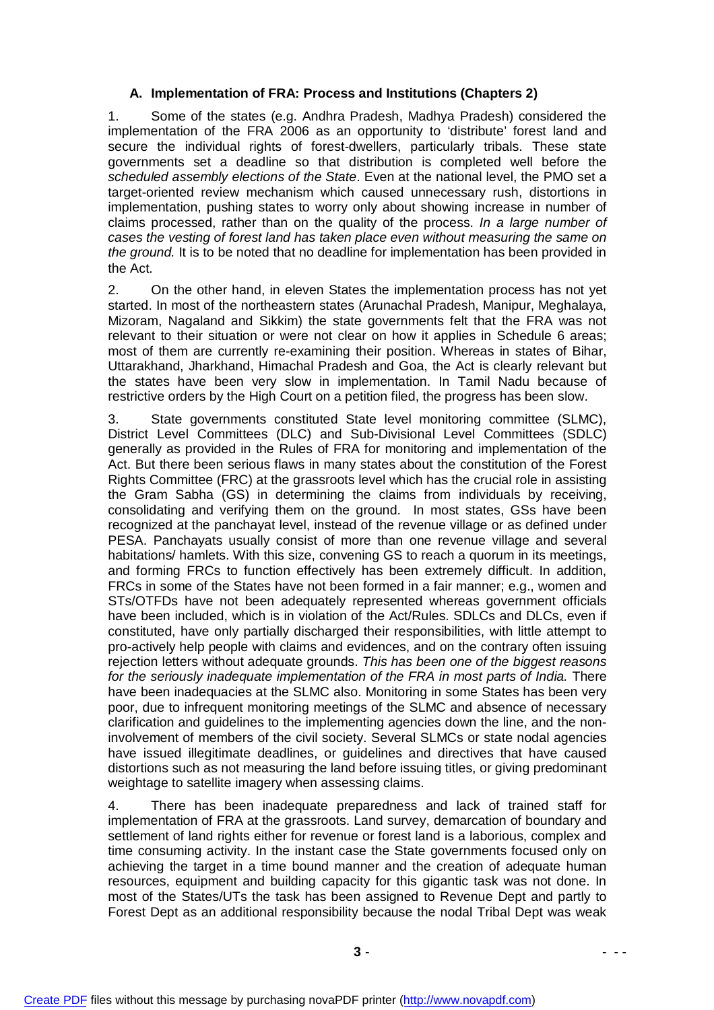# **A. Implementation of FRA: Process and Institutions (Chapters 2)**

1. Some of the states (e.g. Andhra Pradesh, Madhya Pradesh) considered the implementation of the FRA 2006 as an opportunity to 'distribute' forest land and secure the individual rights of forest-dwellers, particularly tribals. These state governments set a deadline so that distribution is completed well before the *scheduled assembly elections of the State*. Even at the national level, the PMO set a target-oriented review mechanism which caused unnecessary rush, distortions in implementation, pushing states to worry only about showing increase in number of claims processed, rather than on the quality of the process. *In a large number of cases the vesting of forest land has taken place even without measuring the same on the ground.* It is to be noted that no deadline for implementation has been provided in the Act.

2. On the other hand, in eleven States the implementation process has not yet started. In most of the northeastern states (Arunachal Pradesh, Manipur, Meghalaya, Mizoram, Nagaland and Sikkim) the state governments felt that the FRA was not relevant to their situation or were not clear on how it applies in Schedule 6 areas; most of them are currently re-examining their position. Whereas in states of Bihar, Uttarakhand, Jharkhand, Himachal Pradesh and Goa, the Act is clearly relevant but the states have been very slow in implementation. In Tamil Nadu because of restrictive orders by the High Court on a petition filed, the progress has been slow.

3. State governments constituted State level monitoring committee (SLMC), District Level Committees (DLC) and Sub-Divisional Level Committees (SDLC) generally as provided in the Rules of FRA for monitoring and implementation of the Act. But there been serious flaws in many states about the constitution of the Forest Rights Committee (FRC) at the grassroots level which has the crucial role in assisting the Gram Sabha (GS) in determining the claims from individuals by receiving, consolidating and verifying them on the ground. In most states, GSs have been recognized at the panchayat level, instead of the revenue village or as defined under PESA. Panchayats usually consist of more than one revenue village and several habitations/ hamlets. With this size, convening GS to reach a quorum in its meetings, and forming FRCs to function effectively has been extremely difficult. In addition, FRCs in some of the States have not been formed in a fair manner; e.g., women and STs/OTFDs have not been adequately represented whereas government officials have been included, which is in violation of the Act/Rules. SDLCs and DLCs, even if constituted, have only partially discharged their responsibilities, with little attempt to pro-actively help people with claims and evidences, and on the contrary often issuing rejection letters without adequate grounds. *This has been one of the biggest reasons for the seriously inadequate implementation of the FRA in most parts of India.* There have been inadequacies at the SLMC also. Monitoring in some States has been very poor, due to infrequent monitoring meetings of the SLMC and absence of necessary clarification and guidelines to the implementing agencies down the line, and the noninvolvement of members of the civil society. Several SLMCs or state nodal agencies have issued illegitimate deadlines, or guidelines and directives that have caused distortions such as not measuring the land before issuing titles, or giving predominant weightage to satellite imagery when assessing claims.

4. There has been inadequate preparedness and lack of trained staff for implementation of FRA at the grassroots. Land survey, demarcation of boundary and settlement of land rights either for revenue or forest land is a laborious, complex and time consuming activity. In the instant case the State governments focused only on achieving the target in a time bound manner and the creation of adequate human resources, equipment and building capacity for this gigantic task was not done. In most of the States/UTs the task has been assigned to Revenue Dept and partly to Forest Dept as an additional responsibility because the nodal Tribal Dept was weak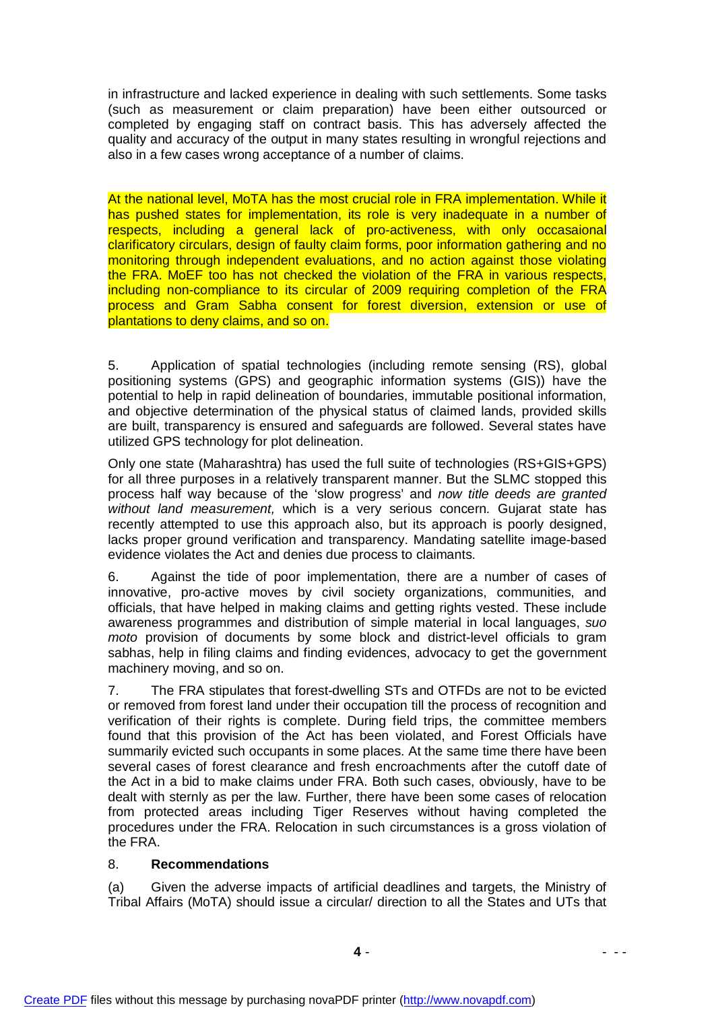in infrastructure and lacked experience in dealing with such settlements. Some tasks (such as measurement or claim preparation) have been either outsourced or completed by engaging staff on contract basis. This has adversely affected the quality and accuracy of the output in many states resulting in wrongful rejections and also in a few cases wrong acceptance of a number of claims.

At the national level, MoTA has the most crucial role in FRA implementation. While it has pushed states for implementation, its role is very inadequate in a number of respects, including a general lack of pro-activeness, with only occasaional clarificatory circulars, design of faulty claim forms, poor information gathering and no monitoring through independent evaluations, and no action against those violating the FRA. MoEF too has not checked the violation of the FRA in various respects, including non-compliance to its circular of 2009 requiring completion of the FRA process and Gram Sabha consent for forest diversion, extension or use of plantations to deny claims, and so on.

5. Application of spatial technologies (including remote sensing (RS), global positioning systems (GPS) and geographic information systems (GIS)) have the potential to help in rapid delineation of boundaries, immutable positional information, and objective determination of the physical status of claimed lands, provided skills are built, transparency is ensured and safeguards are followed. Several states have utilized GPS technology for plot delineation.

Only one state (Maharashtra) has used the full suite of technologies (RS+GIS+GPS) for all three purposes in a relatively transparent manner. But the SLMC stopped this process half way because of the 'slow progress' and *now title deeds are granted without land measurement,* which is a very serious concern*.* Gujarat state has recently attempted to use this approach also, but its approach is poorly designed, lacks proper ground verification and transparency. Mandating satellite image-based evidence violates the Act and denies due process to claimants.

6. Against the tide of poor implementation, there are a number of cases of innovative, pro-active moves by civil society organizations, communities, and officials, that have helped in making claims and getting rights vested. These include awareness programmes and distribution of simple material in local languages, *suo moto* provision of documents by some block and district-level officials to gram sabhas, help in filing claims and finding evidences, advocacy to get the government machinery moving, and so on.

7. The FRA stipulates that forest-dwelling STs and OTFDs are not to be evicted or removed from forest land under their occupation till the process of recognition and verification of their rights is complete. During field trips, the committee members found that this provision of the Act has been violated, and Forest Officials have summarily evicted such occupants in some places. At the same time there have been several cases of forest clearance and fresh encroachments after the cutoff date of the Act in a bid to make claims under FRA. Both such cases, obviously, have to be dealt with sternly as per the law. Further, there have been some cases of relocation from protected areas including Tiger Reserves without having completed the procedures under the FRA. Relocation in such circumstances is a gross violation of the FRA.

# 8. **Recommendations**

(a) Given the adverse impacts of artificial deadlines and targets, the Ministry of Tribal Affairs (MoTA) should issue a circular/ direction to all the States and UTs that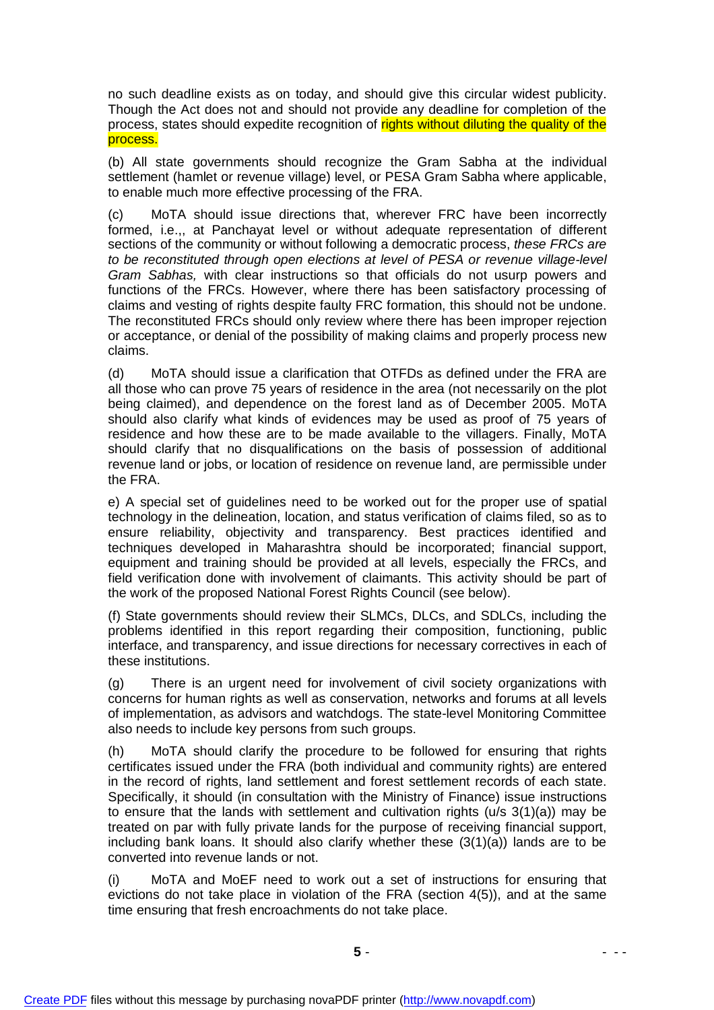no such deadline exists as on today, and should give this circular widest publicity. Though the Act does not and should not provide any deadline for completion of the process, states should expedite recognition of rights without diluting the quality of the process.

(b) All state governments should recognize the Gram Sabha at the individual settlement (hamlet or revenue village) level, or PESA Gram Sabha where applicable, to enable much more effective processing of the FRA.

(c) MoTA should issue directions that, wherever FRC have been incorrectly formed, i.e.,, at Panchayat level or without adequate representation of different sections of the community or without following a democratic process, *these FRCs are to be reconstituted through open elections at level of PESA or revenue village-level Gram Sabhas,* with clear instructions so that officials do not usurp powers and functions of the FRCs. However, where there has been satisfactory processing of claims and vesting of rights despite faulty FRC formation, this should not be undone. The reconstituted FRCs should only review where there has been improper rejection or acceptance, or denial of the possibility of making claims and properly process new claims.

(d) MoTA should issue a clarification that OTFDs as defined under the FRA are all those who can prove 75 years of residence in the area (not necessarily on the plot being claimed), and dependence on the forest land as of December 2005. MoTA should also clarify what kinds of evidences may be used as proof of 75 years of residence and how these are to be made available to the villagers. Finally, MoTA should clarify that no disqualifications on the basis of possession of additional revenue land or jobs, or location of residence on revenue land, are permissible under the FRA.

e) A special set of guidelines need to be worked out for the proper use of spatial technology in the delineation, location, and status verification of claims filed, so as to ensure reliability, objectivity and transparency. Best practices identified and techniques developed in Maharashtra should be incorporated; financial support, equipment and training should be provided at all levels, especially the FRCs, and field verification done with involvement of claimants. This activity should be part of the work of the proposed National Forest Rights Council (see below).

(f) State governments should review their SLMCs, DLCs, and SDLCs, including the problems identified in this report regarding their composition, functioning, public interface, and transparency, and issue directions for necessary correctives in each of these institutions.

(g) There is an urgent need for involvement of civil society organizations with concerns for human rights as well as conservation, networks and forums at all levels of implementation, as advisors and watchdogs. The state-level Monitoring Committee also needs to include key persons from such groups.

(h) MoTA should clarify the procedure to be followed for ensuring that rights certificates issued under the FRA (both individual and community rights) are entered in the record of rights, land settlement and forest settlement records of each state. Specifically, it should (in consultation with the Ministry of Finance) issue instructions to ensure that the lands with settlement and cultivation rights  $(u/s 3(1)(a))$  may be treated on par with fully private lands for the purpose of receiving financial support, including bank loans. It should also clarify whether these (3(1)(a)) lands are to be converted into revenue lands or not.

(i) MoTA and MoEF need to work out a set of instructions for ensuring that evictions do not take place in violation of the FRA (section 4(5)), and at the same time ensuring that fresh encroachments do not take place.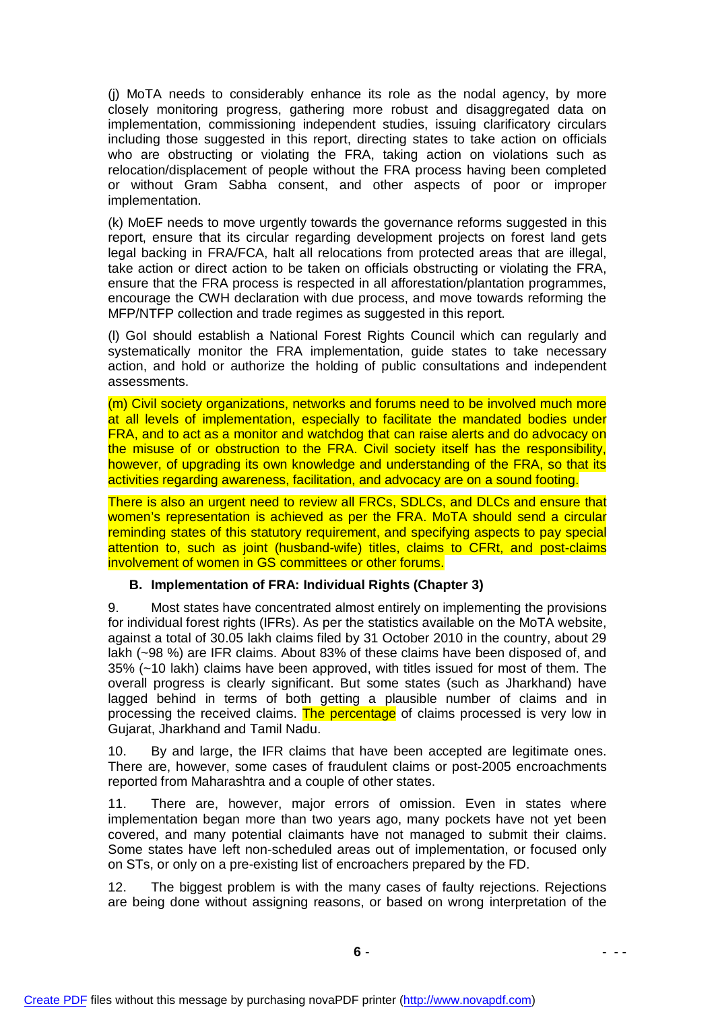(j) MoTA needs to considerably enhance its role as the nodal agency, by more closely monitoring progress, gathering more robust and disaggregated data on implementation, commissioning independent studies, issuing clarificatory circulars including those suggested in this report, directing states to take action on officials who are obstructing or violating the FRA, taking action on violations such as relocation/displacement of people without the FRA process having been completed or without Gram Sabha consent, and other aspects of poor or improper implementation.

(k) MoEF needs to move urgently towards the governance reforms suggested in this report, ensure that its circular regarding development projects on forest land gets legal backing in FRA/FCA, halt all relocations from protected areas that are illegal, take action or direct action to be taken on officials obstructing or violating the FRA, ensure that the FRA process is respected in all afforestation/plantation programmes, encourage the CWH declaration with due process, and move towards reforming the MFP/NTFP collection and trade regimes as suggested in this report.

(l) GoI should establish a National Forest Rights Council which can regularly and systematically monitor the FRA implementation, guide states to take necessary action, and hold or authorize the holding of public consultations and independent assessments.

(m) Civil society organizations, networks and forums need to be involved much more at all levels of implementation, especially to facilitate the mandated bodies under FRA, and to act as a monitor and watchdog that can raise alerts and do advocacy on the misuse of or obstruction to the FRA. Civil society itself has the responsibility, however, of upgrading its own knowledge and understanding of the FRA, so that its activities regarding awareness, facilitation, and advocacy are on a sound footing.

There is also an urgent need to review all FRCs, SDLCs, and DLCs and ensure that women's representation is achieved as per the FRA. MoTA should send a circular reminding states of this statutory requirement, and specifying aspects to pay special attention to, such as joint (husband-wife) titles, claims to CFRt, and post-claims involvement of women in GS committees or other forums.

# **B. Implementation of FRA: Individual Rights (Chapter 3)**

9. Most states have concentrated almost entirely on implementing the provisions for individual forest rights (IFRs). As per the statistics available on the MoTA website, against a total of 30.05 lakh claims filed by 31 October 2010 in the country, about 29 lakh (~98 %) are IFR claims. About 83% of these claims have been disposed of, and 35% (~10 lakh) claims have been approved, with titles issued for most of them. The overall progress is clearly significant. But some states (such as Jharkhand) have lagged behind in terms of both getting a plausible number of claims and in processing the received claims. The percentage of claims processed is very low in Gujarat, Jharkhand and Tamil Nadu.

10. By and large, the IFR claims that have been accepted are legitimate ones. There are, however, some cases of fraudulent claims or post-2005 encroachments reported from Maharashtra and a couple of other states.

11. There are, however, major errors of omission. Even in states where implementation began more than two years ago, many pockets have not yet been covered, and many potential claimants have not managed to submit their claims. Some states have left non-scheduled areas out of implementation, or focused only on STs, or only on a pre-existing list of encroachers prepared by the FD.

12. The biggest problem is with the many cases of faulty rejections. Rejections are being done without assigning reasons, or based on wrong interpretation of the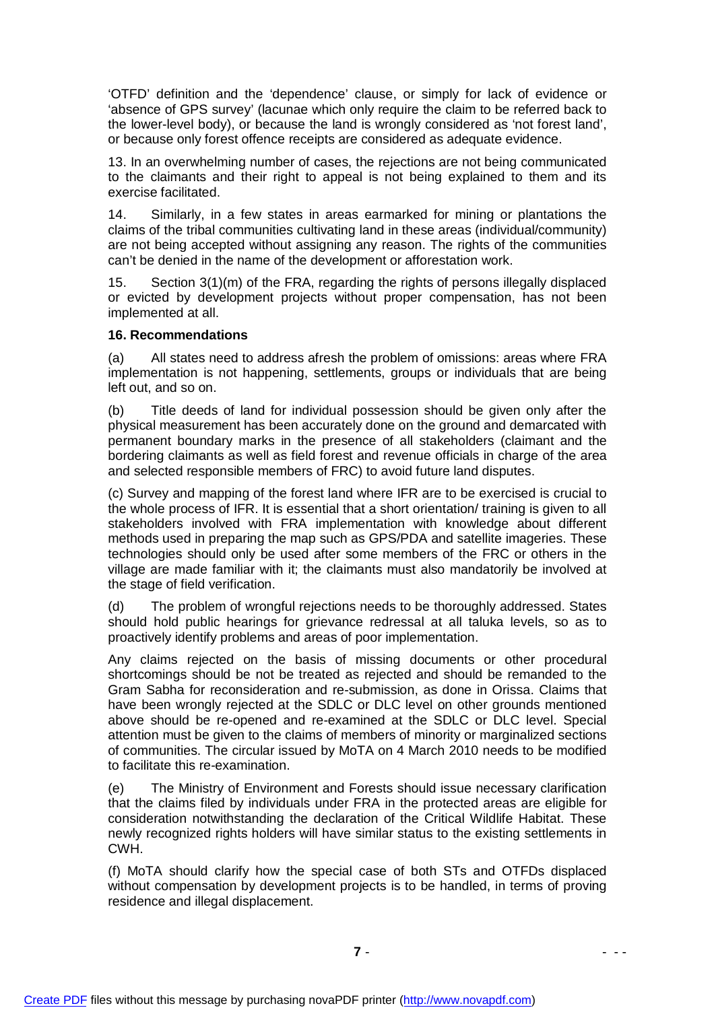'OTFD' definition and the 'dependence' clause, or simply for lack of evidence or 'absence of GPS survey' (lacunae which only require the claim to be referred back to the lower-level body), or because the land is wrongly considered as 'not forest land', or because only forest offence receipts are considered as adequate evidence.

13. In an overwhelming number of cases, the rejections are not being communicated to the claimants and their right to appeal is not being explained to them and its exercise facilitated.

14. Similarly, in a few states in areas earmarked for mining or plantations the claims of the tribal communities cultivating land in these areas (individual/community) are not being accepted without assigning any reason. The rights of the communities can't be denied in the name of the development or afforestation work.

15. Section 3(1)(m) of the FRA, regarding the rights of persons illegally displaced or evicted by development projects without proper compensation, has not been implemented at all.

### **16. Recommendations**

(a) All states need to address afresh the problem of omissions: areas where FRA implementation is not happening, settlements, groups or individuals that are being left out, and so on.

(b) Title deeds of land for individual possession should be given only after the physical measurement has been accurately done on the ground and demarcated with permanent boundary marks in the presence of all stakeholders (claimant and the bordering claimants as well as field forest and revenue officials in charge of the area and selected responsible members of FRC) to avoid future land disputes.

(c) Survey and mapping of the forest land where IFR are to be exercised is crucial to the whole process of IFR. It is essential that a short orientation/ training is given to all stakeholders involved with FRA implementation with knowledge about different methods used in preparing the map such as GPS/PDA and satellite imageries. These technologies should only be used after some members of the FRC or others in the village are made familiar with it; the claimants must also mandatorily be involved at the stage of field verification.

(d) The problem of wrongful rejections needs to be thoroughly addressed. States should hold public hearings for grievance redressal at all taluka levels, so as to proactively identify problems and areas of poor implementation.

Any claims rejected on the basis of missing documents or other procedural shortcomings should be not be treated as rejected and should be remanded to the Gram Sabha for reconsideration and re-submission, as done in Orissa. Claims that have been wrongly rejected at the SDLC or DLC level on other grounds mentioned above should be re-opened and re-examined at the SDLC or DLC level. Special attention must be given to the claims of members of minority or marginalized sections of communities. The circular issued by MoTA on 4 March 2010 needs to be modified to facilitate this re-examination.

(e) The Ministry of Environment and Forests should issue necessary clarification that the claims filed by individuals under FRA in the protected areas are eligible for consideration notwithstanding the declaration of the Critical Wildlife Habitat. These newly recognized rights holders will have similar status to the existing settlements in CWH.

(f) MoTA should clarify how the special case of both STs and OTFDs displaced without compensation by development projects is to be handled, in terms of proving residence and illegal displacement.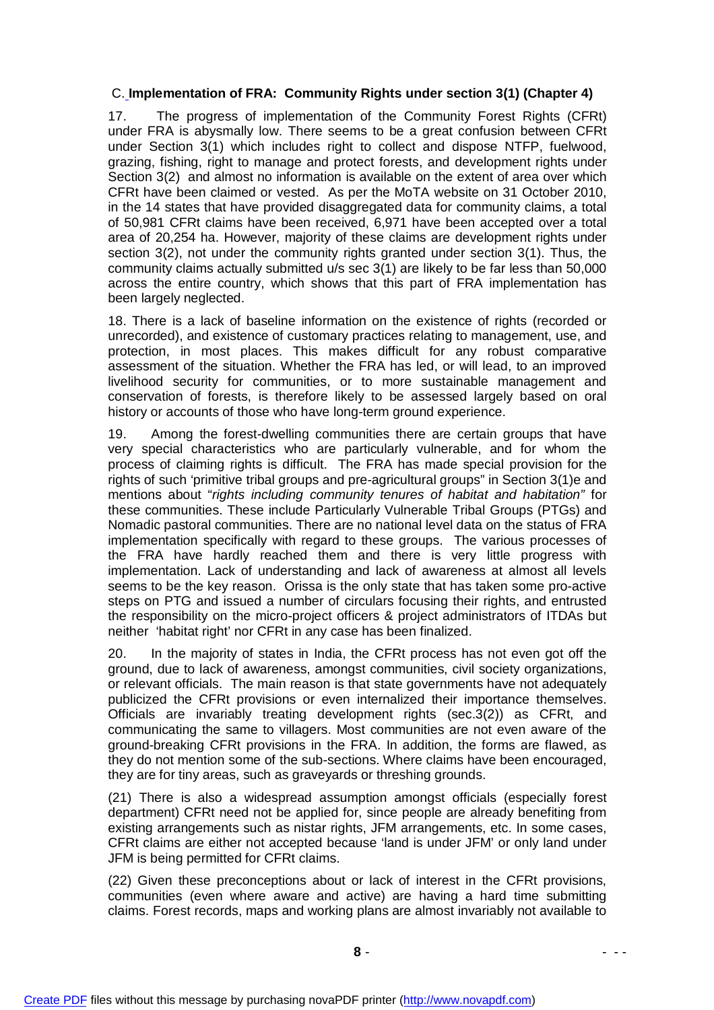## C. **Implementation of FRA: Community Rights under section 3(1) (Chapter 4)**

17. The progress of implementation of the Community Forest Rights (CFRt) under FRA is abysmally low. There seems to be a great confusion between CFRt under Section 3(1) which includes right to collect and dispose NTFP, fuelwood, grazing, fishing, right to manage and protect forests, and development rights under Section 3(2) and almost no information is available on the extent of area over which CFRt have been claimed or vested. As per the MoTA website on 31 October 2010, in the 14 states that have provided disaggregated data for community claims, a total of 50,981 CFRt claims have been received, 6,971 have been accepted over a total area of 20,254 ha. However, majority of these claims are development rights under section 3(2), not under the community rights granted under section 3(1). Thus, the community claims actually submitted u/s sec 3(1) are likely to be far less than 50,000 across the entire country, which shows that this part of FRA implementation has been largely neglected.

18. There is a lack of baseline information on the existence of rights (recorded or unrecorded), and existence of customary practices relating to management, use, and protection, in most places. This makes difficult for any robust comparative assessment of the situation. Whether the FRA has led, or will lead, to an improved livelihood security for communities, or to more sustainable management and conservation of forests, is therefore likely to be assessed largely based on oral history or accounts of those who have long-term ground experience.

19. Among the forest-dwelling communities there are certain groups that have very special characteristics who are particularly vulnerable, and for whom the process of claiming rights is difficult. The FRA has made special provision for the rights of such 'primitive tribal groups and pre-agricultural groups" in Section 3(1)e and mentions about "*rights including community tenures of habitat and habitation"* for these communities. These include Particularly Vulnerable Tribal Groups (PTGs) and Nomadic pastoral communities. There are no national level data on the status of FRA implementation specifically with regard to these groups. The various processes of the FRA have hardly reached them and there is very little progress with implementation. Lack of understanding and lack of awareness at almost all levels seems to be the key reason. Orissa is the only state that has taken some pro-active steps on PTG and issued a number of circulars focusing their rights, and entrusted the responsibility on the micro-project officers & project administrators of ITDAs but neither 'habitat right' nor CFRt in any case has been finalized.

20. In the majority of states in India, the CFRt process has not even got off the ground, due to lack of awareness, amongst communities, civil society organizations, or relevant officials. The main reason is that state governments have not adequately publicized the CFRt provisions or even internalized their importance themselves. Officials are invariably treating development rights (sec.3(2)) as CFRt, and communicating the same to villagers. Most communities are not even aware of the ground-breaking CFRt provisions in the FRA. In addition, the forms are flawed, as they do not mention some of the sub-sections. Where claims have been encouraged, they are for tiny areas, such as graveyards or threshing grounds.

(21) There is also a widespread assumption amongst officials (especially forest department) CFRt need not be applied for, since people are already benefiting from existing arrangements such as nistar rights, JFM arrangements, etc. In some cases, CFRt claims are either not accepted because 'land is under JFM' or only land under JFM is being permitted for CFRt claims.

(22) Given these preconceptions about or lack of interest in the CFRt provisions, communities (even where aware and active) are having a hard time submitting claims. Forest records, maps and working plans are almost invariably not available to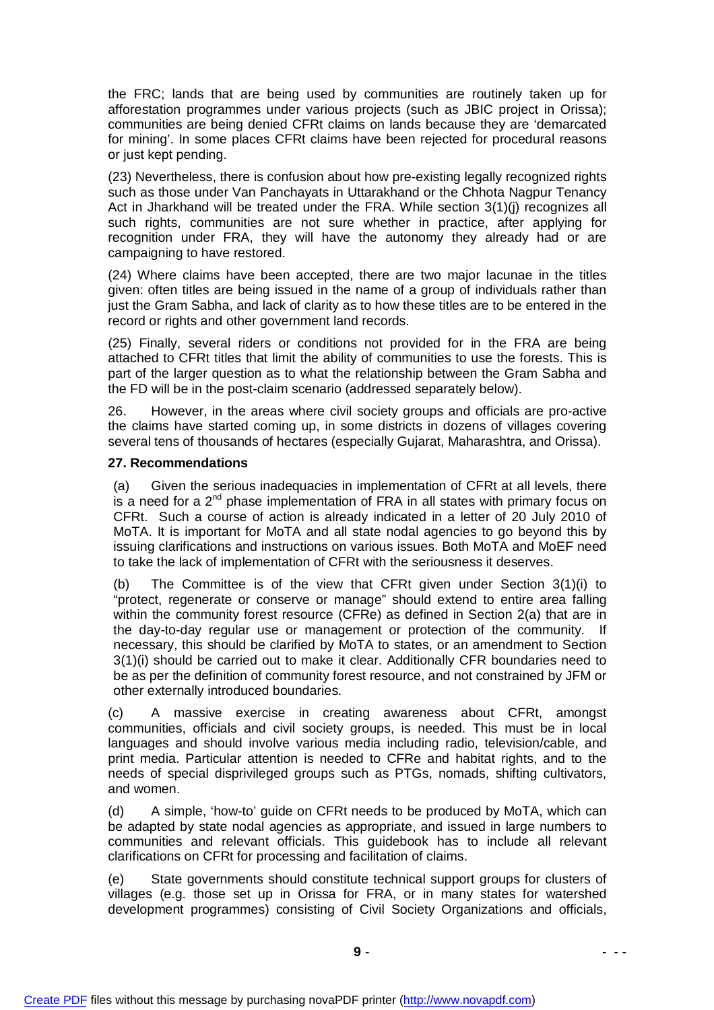the FRC; lands that are being used by communities are routinely taken up for afforestation programmes under various projects (such as JBIC project in Orissa); communities are being denied CFRt claims on lands because they are 'demarcated for mining'. In some places CFRt claims have been rejected for procedural reasons or just kept pending.

(23) Nevertheless, there is confusion about how pre-existing legally recognized rights such as those under Van Panchayats in Uttarakhand or the Chhota Nagpur Tenancy Act in Jharkhand will be treated under the FRA. While section 3(1)(j) recognizes all such rights, communities are not sure whether in practice, after applying for recognition under FRA, they will have the autonomy they already had or are campaigning to have restored.

(24) Where claims have been accepted, there are two major lacunae in the titles given: often titles are being issued in the name of a group of individuals rather than just the Gram Sabha, and lack of clarity as to how these titles are to be entered in the record or rights and other government land records.

(25) Finally, several riders or conditions not provided for in the FRA are being attached to CFRt titles that limit the ability of communities to use the forests. This is part of the larger question as to what the relationship between the Gram Sabha and the FD will be in the post-claim scenario (addressed separately below).

26. However, in the areas where civil society groups and officials are pro-active the claims have started coming up, in some districts in dozens of villages covering several tens of thousands of hectares (especially Gujarat, Maharashtra, and Orissa).

### **27. Recommendations**

(a) Given the serious inadequacies in implementation of CFRt at all levels, there is a need for a  $2<sup>nd</sup>$  phase implementation of FRA in all states with primary focus on CFRt. Such a course of action is already indicated in a letter of 20 July 2010 of MoTA. It is important for MoTA and all state nodal agencies to go beyond this by issuing clarifications and instructions on various issues. Both MoTA and MoEF need to take the lack of implementation of CFRt with the seriousness it deserves.

(b) The Committee is of the view that CFRt given under Section 3(1)(i) to "protect, regenerate or conserve or manage" should extend to entire area falling within the community forest resource (CFRe) as defined in Section 2(a) that are in the day-to-day regular use or management or protection of the community. If necessary, this should be clarified by MoTA to states, or an amendment to Section 3(1)(i) should be carried out to make it clear. Additionally CFR boundaries need to be as per the definition of community forest resource, and not constrained by JFM or other externally introduced boundaries.

(c) A massive exercise in creating awareness about CFRt, amongst communities, officials and civil society groups, is needed. This must be in local languages and should involve various media including radio, television/cable, and print media. Particular attention is needed to CFRe and habitat rights, and to the needs of special disprivileged groups such as PTGs, nomads, shifting cultivators, and women.

(d) A simple, 'how-to' guide on CFRt needs to be produced by MoTA, which can be adapted by state nodal agencies as appropriate, and issued in large numbers to communities and relevant officials. This guidebook has to include all relevant clarifications on CFRt for processing and facilitation of claims.

(e) State governments should constitute technical support groups for clusters of villages (e.g. those set up in Orissa for FRA, or in many states for watershed development programmes) consisting of Civil Society Organizations and officials,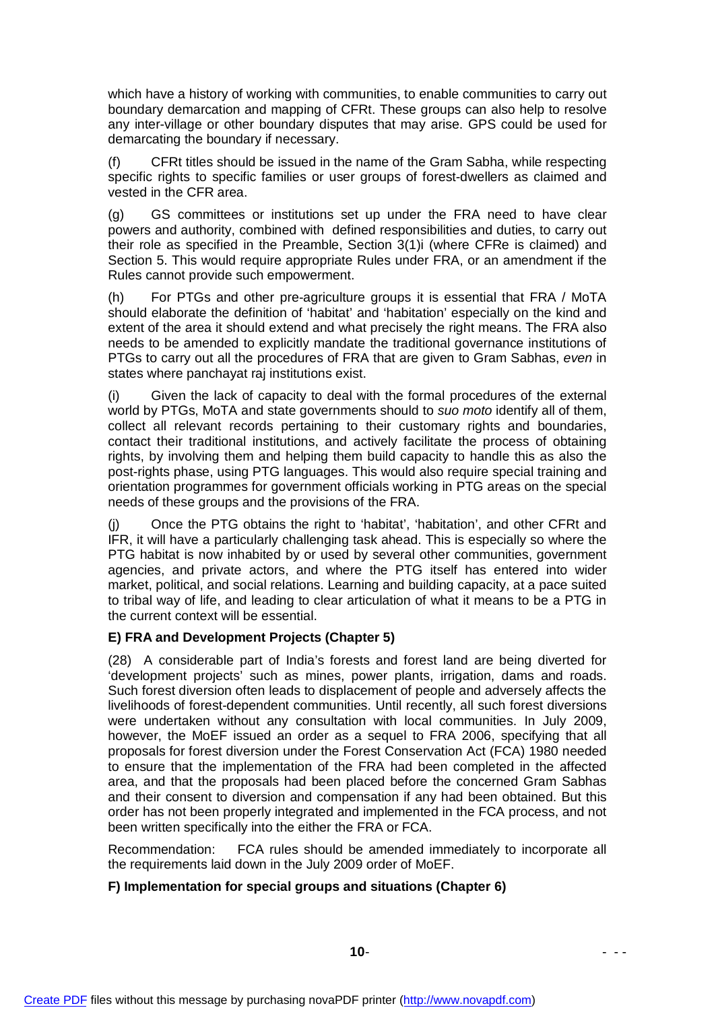which have a history of working with communities, to enable communities to carry out boundary demarcation and mapping of CFRt. These groups can also help to resolve any inter-village or other boundary disputes that may arise. GPS could be used for demarcating the boundary if necessary.

(f) CFRt titles should be issued in the name of the Gram Sabha, while respecting specific rights to specific families or user groups of forest-dwellers as claimed and vested in the CFR area.

(g) GS committees or institutions set up under the FRA need to have clear powers and authority, combined with defined responsibilities and duties, to carry out their role as specified in the Preamble, Section 3(1)i (where CFRe is claimed) and Section 5. This would require appropriate Rules under FRA, or an amendment if the Rules cannot provide such empowerment.

(h) For PTGs and other pre-agriculture groups it is essential that FRA / MoTA should elaborate the definition of 'habitat' and 'habitation' especially on the kind and extent of the area it should extend and what precisely the right means. The FRA also needs to be amended to explicitly mandate the traditional governance institutions of PTGs to carry out all the procedures of FRA that are given to Gram Sabhas, *even* in states where panchayat raj institutions exist.

(i) Given the lack of capacity to deal with the formal procedures of the external world by PTGs, MoTA and state governments should to *suo moto* identify all of them, collect all relevant records pertaining to their customary rights and boundaries, contact their traditional institutions, and actively facilitate the process of obtaining rights, by involving them and helping them build capacity to handle this as also the post-rights phase, using PTG languages. This would also require special training and orientation programmes for government officials working in PTG areas on the special needs of these groups and the provisions of the FRA.

(j) Once the PTG obtains the right to 'habitat', 'habitation', and other CFRt and IFR, it will have a particularly challenging task ahead. This is especially so where the PTG habitat is now inhabited by or used by several other communities, government agencies, and private actors, and where the PTG itself has entered into wider market, political, and social relations. Learning and building capacity, at a pace suited to tribal way of life, and leading to clear articulation of what it means to be a PTG in the current context will be essential.

# **E) FRA and Development Projects (Chapter 5)**

(28) A considerable part of India's forests and forest land are being diverted for 'development projects' such as mines, power plants, irrigation, dams and roads. Such forest diversion often leads to displacement of people and adversely affects the livelihoods of forest-dependent communities. Until recently, all such forest diversions were undertaken without any consultation with local communities. In July 2009, however, the MoEF issued an order as a sequel to FRA 2006, specifying that all proposals for forest diversion under the Forest Conservation Act (FCA) 1980 needed to ensure that the implementation of the FRA had been completed in the affected area, and that the proposals had been placed before the concerned Gram Sabhas and their consent to diversion and compensation if any had been obtained. But this order has not been properly integrated and implemented in the FCA process, and not been written specifically into the either the FRA or FCA.

Recommendation: FCA rules should be amended immediately to incorporate all the requirements laid down in the July 2009 order of MoEF.

# **F) Implementation for special groups and situations (Chapter 6)**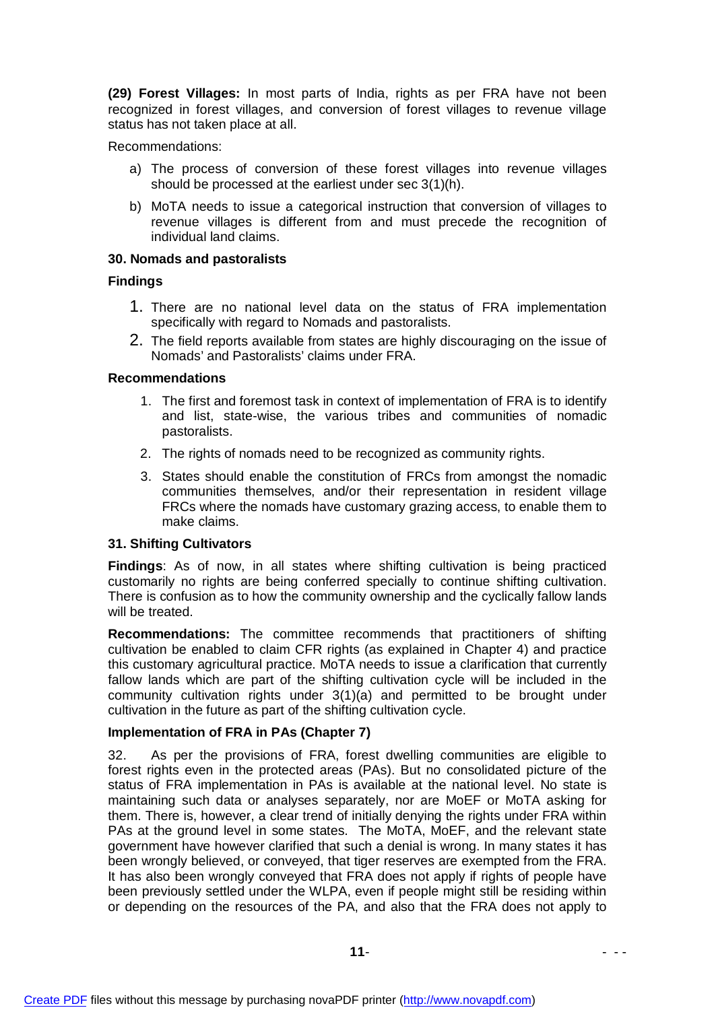**(29) Forest Villages:** In most parts of India, rights as per FRA have not been recognized in forest villages, and conversion of forest villages to revenue village status has not taken place at all.

Recommendations:

- a) The process of conversion of these forest villages into revenue villages should be processed at the earliest under sec 3(1)(h).
- b) MoTA needs to issue a categorical instruction that conversion of villages to revenue villages is different from and must precede the recognition of individual land claims.

### **30. Nomads and pastoralists**

### **Findings**

- 1. There are no national level data on the status of FRA implementation specifically with regard to Nomads and pastoralists.
- 2. The field reports available from states are highly discouraging on the issue of Nomads' and Pastoralists' claims under FRA.

### **Recommendations**

- 1. The first and foremost task in context of implementation of FRA is to identify and list, state-wise, the various tribes and communities of nomadic pastoralists.
- 2. The rights of nomads need to be recognized as community rights.
- 3. States should enable the constitution of FRCs from amongst the nomadic communities themselves, and/or their representation in resident village FRCs where the nomads have customary grazing access, to enable them to make claims.

#### **31. Shifting Cultivators**

**Findings**: As of now, in all states where shifting cultivation is being practiced customarily no rights are being conferred specially to continue shifting cultivation. There is confusion as to how the community ownership and the cyclically fallow lands will be treated.

**Recommendations:** The committee recommends that practitioners of shifting cultivation be enabled to claim CFR rights (as explained in Chapter 4) and practice this customary agricultural practice. MoTA needs to issue a clarification that currently fallow lands which are part of the shifting cultivation cycle will be included in the community cultivation rights under 3(1)(a) and permitted to be brought under cultivation in the future as part of the shifting cultivation cycle.

# **Implementation of FRA in PAs (Chapter 7)**

32. As per the provisions of FRA, forest dwelling communities are eligible to forest rights even in the protected areas (PAs). But no consolidated picture of the status of FRA implementation in PAs is available at the national level. No state is maintaining such data or analyses separately, nor are MoEF or MoTA asking for them. There is, however, a clear trend of initially denying the rights under FRA within PAs at the ground level in some states. The MoTA, MoEF, and the relevant state government have however clarified that such a denial is wrong. In many states it has been wrongly believed, or conveyed, that tiger reserves are exempted from the FRA. It has also been wrongly conveyed that FRA does not apply if rights of people have been previously settled under the WLPA, even if people might still be residing within or depending on the resources of the PA, and also that the FRA does not apply to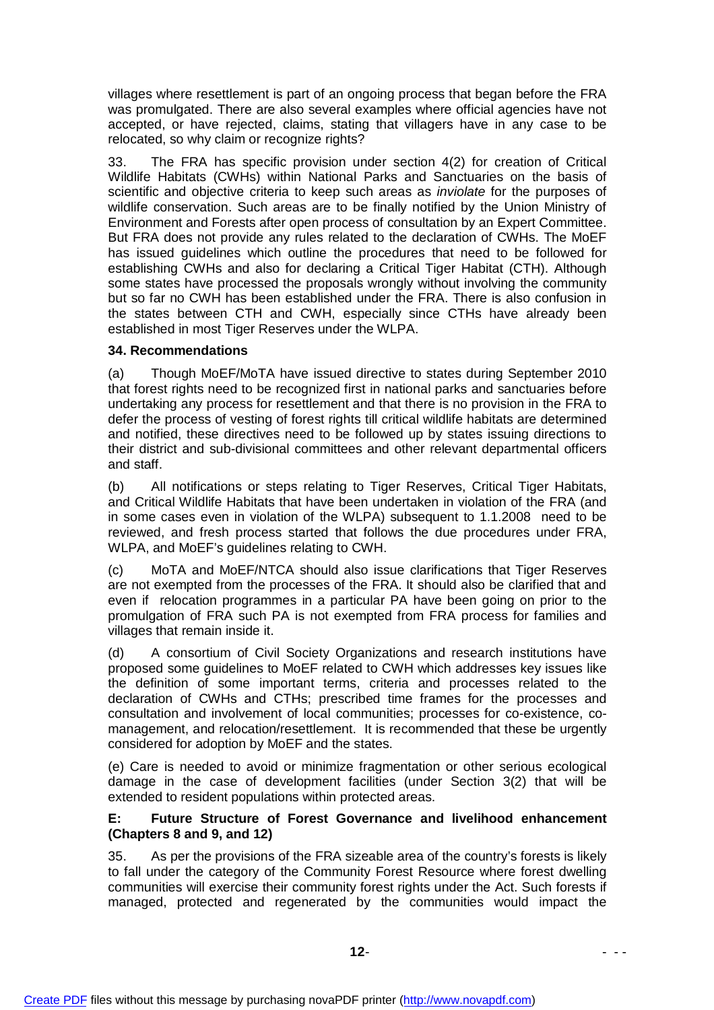villages where resettlement is part of an ongoing process that began before the FRA was promulgated. There are also several examples where official agencies have not accepted, or have rejected, claims, stating that villagers have in any case to be relocated, so why claim or recognize rights?

33. The FRA has specific provision under section 4(2) for creation of Critical Wildlife Habitats (CWHs) within National Parks and Sanctuaries on the basis of scientific and objective criteria to keep such areas as *inviolate* for the purposes of wildlife conservation. Such areas are to be finally notified by the Union Ministry of Environment and Forests after open process of consultation by an Expert Committee. But FRA does not provide any rules related to the declaration of CWHs. The MoEF has issued guidelines which outline the procedures that need to be followed for establishing CWHs and also for declaring a Critical Tiger Habitat (CTH). Although some states have processed the proposals wrongly without involving the community but so far no CWH has been established under the FRA. There is also confusion in the states between CTH and CWH, especially since CTHs have already been established in most Tiger Reserves under the WLPA.

# **34. Recommendations**

(a) Though MoEF/MoTA have issued directive to states during September 2010 that forest rights need to be recognized first in national parks and sanctuaries before undertaking any process for resettlement and that there is no provision in the FRA to defer the process of vesting of forest rights till critical wildlife habitats are determined and notified, these directives need to be followed up by states issuing directions to their district and sub-divisional committees and other relevant departmental officers and staff.

(b) All notifications or steps relating to Tiger Reserves, Critical Tiger Habitats, and Critical Wildlife Habitats that have been undertaken in violation of the FRA (and in some cases even in violation of the WLPA) subsequent to 1.1.2008 need to be reviewed, and fresh process started that follows the due procedures under FRA, WLPA, and MoEF's guidelines relating to CWH.

(c) MoTA and MoEF/NTCA should also issue clarifications that Tiger Reserves are not exempted from the processes of the FRA. It should also be clarified that and even if relocation programmes in a particular PA have been going on prior to the promulgation of FRA such PA is not exempted from FRA process for families and villages that remain inside it.

(d) A consortium of Civil Society Organizations and research institutions have proposed some guidelines to MoEF related to CWH which addresses key issues like the definition of some important terms, criteria and processes related to the declaration of CWHs and CTHs; prescribed time frames for the processes and consultation and involvement of local communities; processes for co-existence, comanagement, and relocation/resettlement. It is recommended that these be urgently considered for adoption by MoEF and the states.

(e) Care is needed to avoid or minimize fragmentation or other serious ecological damage in the case of development facilities (under Section 3(2) that will be extended to resident populations within protected areas.

### **E: Future Structure of Forest Governance and livelihood enhancement (Chapters 8 and 9, and 12)**

35. As per the provisions of the FRA sizeable area of the country's forests is likely to fall under the category of the Community Forest Resource where forest dwelling communities will exercise their community forest rights under the Act. Such forests if managed, protected and regenerated by the communities would impact the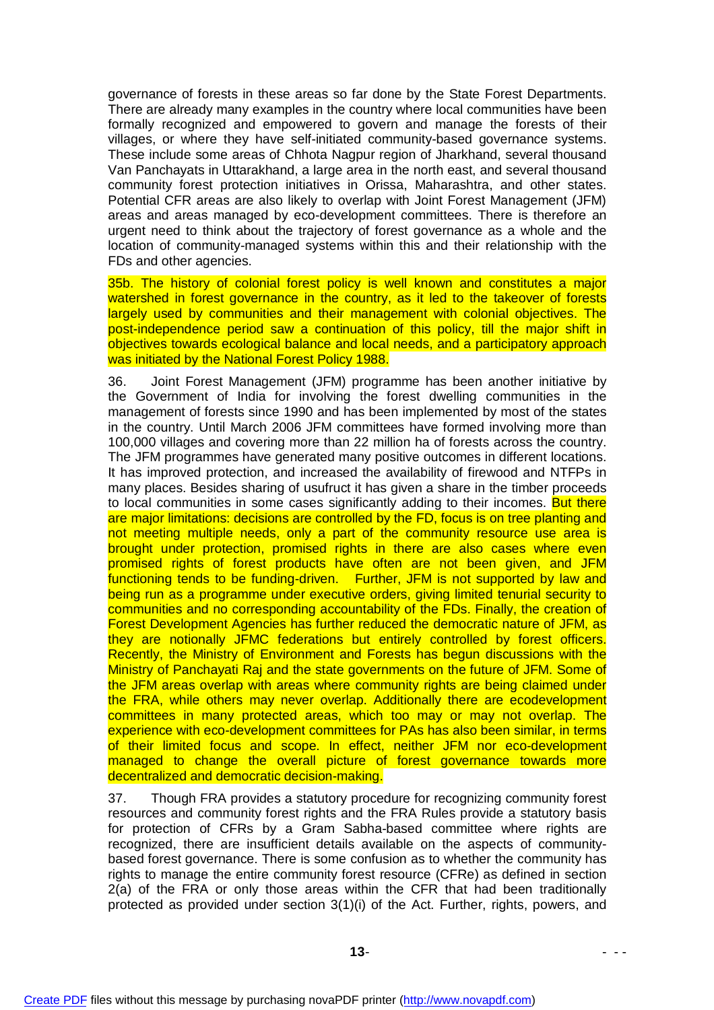governance of forests in these areas so far done by the State Forest Departments. There are already many examples in the country where local communities have been formally recognized and empowered to govern and manage the forests of their villages, or where they have self-initiated community-based governance systems. These include some areas of Chhota Nagpur region of Jharkhand, several thousand Van Panchayats in Uttarakhand, a large area in the north east, and several thousand community forest protection initiatives in Orissa, Maharashtra, and other states. Potential CFR areas are also likely to overlap with Joint Forest Management (JFM) areas and areas managed by eco-development committees. There is therefore an urgent need to think about the trajectory of forest governance as a whole and the location of community-managed systems within this and their relationship with the FDs and other agencies.

35b. The history of colonial forest policy is well known and constitutes a major watershed in forest governance in the country, as it led to the takeover of forests largely used by communities and their management with colonial objectives. The post-independence period saw a continuation of this policy, till the major shift in objectives towards ecological balance and local needs, and a participatory approach was initiated by the National Forest Policy 1988.

36. Joint Forest Management (JFM) programme has been another initiative by the Government of India for involving the forest dwelling communities in the management of forests since 1990 and has been implemented by most of the states in the country. Until March 2006 JFM committees have formed involving more than 100,000 villages and covering more than 22 million ha of forests across the country. The JFM programmes have generated many positive outcomes in different locations. It has improved protection, and increased the availability of firewood and NTFPs in many places. Besides sharing of usufruct it has given a share in the timber proceeds to local communities in some cases significantly adding to their incomes. But there are major limitations: decisions are controlled by the FD, focus is on tree planting and not meeting multiple needs, only a part of the community resource use area is brought under protection, promised rights in there are also cases where even promised rights of forest products have often are not been given, and JFM functioning tends to be funding-driven. Further, JFM is not supported by law and being run as a programme under executive orders, giving limited tenurial security to communities and no corresponding accountability of the FDs. Finally, the creation of Forest Development Agencies has further reduced the democratic nature of JFM, as they are notionally JFMC federations but entirely controlled by forest officers. Recently, the Ministry of Environment and Forests has begun discussions with the Ministry of Panchayati Raj and the state governments on the future of JFM. Some of the JFM areas overlap with areas where community rights are being claimed under the FRA, while others may never overlap. Additionally there are ecodevelopment committees in many protected areas, which too may or may not overlap. The experience with eco-development committees for PAs has also been similar, in terms of their limited focus and scope. In effect, neither JFM nor eco-development managed to change the overall picture of forest governance towards more decentralized and democratic decision-making.

37. Though FRA provides a statutory procedure for recognizing community forest resources and community forest rights and the FRA Rules provide a statutory basis for protection of CFRs by a Gram Sabha-based committee where rights are recognized, there are insufficient details available on the aspects of communitybased forest governance. There is some confusion as to whether the community has rights to manage the entire community forest resource (CFRe) as defined in section 2(a) of the FRA or only those areas within the CFR that had been traditionally protected as provided under section 3(1)(i) of the Act. Further, rights, powers, and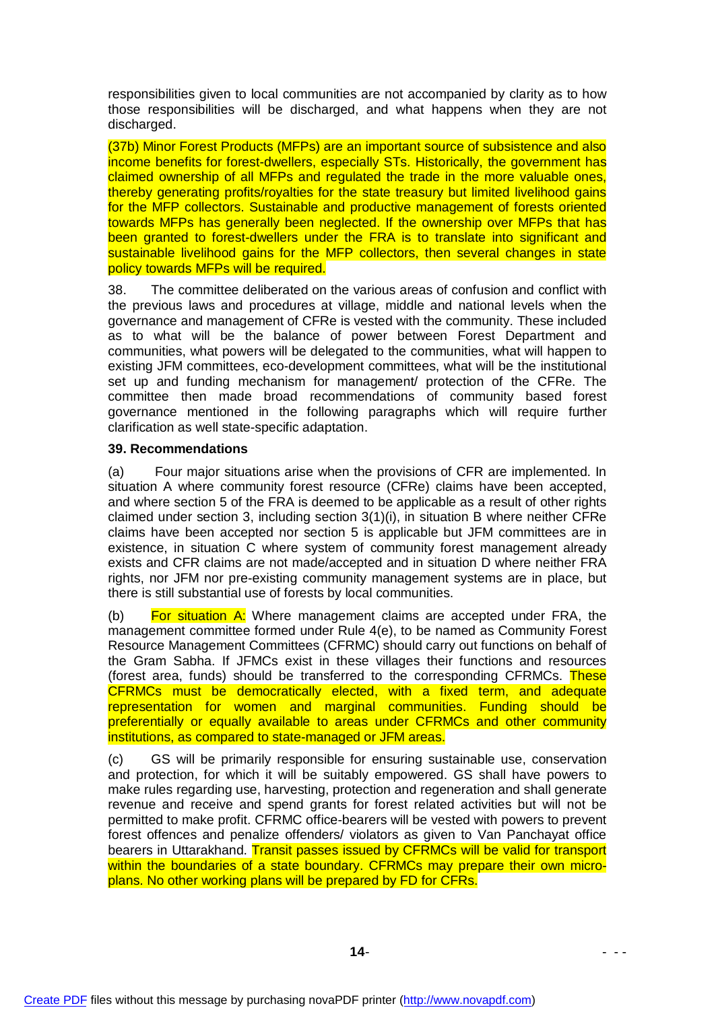responsibilities given to local communities are not accompanied by clarity as to how those responsibilities will be discharged, and what happens when they are not discharged.

(37b) Minor Forest Products (MFPs) are an important source of subsistence and also income benefits for forest-dwellers, especially STs. Historically, the government has claimed ownership of all MFPs and regulated the trade in the more valuable ones, thereby generating profits/royalties for the state treasury but limited livelihood gains for the MFP collectors. Sustainable and productive management of forests oriented towards MFPs has generally been neglected. If the ownership over MFPs that has been granted to forest-dwellers under the FRA is to translate into significant and sustainable livelihood gains for the MFP collectors, then several changes in state policy towards MFPs will be required.

38. The committee deliberated on the various areas of confusion and conflict with the previous laws and procedures at village, middle and national levels when the governance and management of CFRe is vested with the community. These included as to what will be the balance of power between Forest Department and communities, what powers will be delegated to the communities, what will happen to existing JFM committees, eco-development committees, what will be the institutional set up and funding mechanism for management/ protection of the CFRe. The committee then made broad recommendations of community based forest governance mentioned in the following paragraphs which will require further clarification as well state-specific adaptation.

### **39. Recommendations**

(a) Four major situations arise when the provisions of CFR are implemented. In situation A where community forest resource (CFRe) claims have been accepted, and where section 5 of the FRA is deemed to be applicable as a result of other rights claimed under section 3, including section 3(1)(i), in situation B where neither CFRe claims have been accepted nor section 5 is applicable but JFM committees are in existence, in situation C where system of community forest management already exists and CFR claims are not made/accepted and in situation D where neither FRA rights, nor JFM nor pre-existing community management systems are in place, but there is still substantial use of forests by local communities.

(b) For situation A: Where management claims are accepted under FRA, the management committee formed under Rule 4(e), to be named as Community Forest Resource Management Committees (CFRMC) should carry out functions on behalf of the Gram Sabha. If JFMCs exist in these villages their functions and resources (forest area, funds) should be transferred to the corresponding CFRMCs. These CFRMCs must be democratically elected, with a fixed term, and adequate representation for women and marginal communities. Funding should be preferentially or equally available to areas under CFRMCs and other community institutions, as compared to state-managed or JFM areas.

(c) GS will be primarily responsible for ensuring sustainable use, conservation and protection, for which it will be suitably empowered. GS shall have powers to make rules regarding use, harvesting, protection and regeneration and shall generate revenue and receive and spend grants for forest related activities but will not be permitted to make profit. CFRMC office-bearers will be vested with powers to prevent forest offences and penalize offenders/ violators as given to Van Panchayat office bearers in Uttarakhand. Transit passes issued by CFRMCs will be valid for transport within the boundaries of a state boundary. CFRMCs may prepare their own microplans. No other working plans will be prepared by FD for CFRs.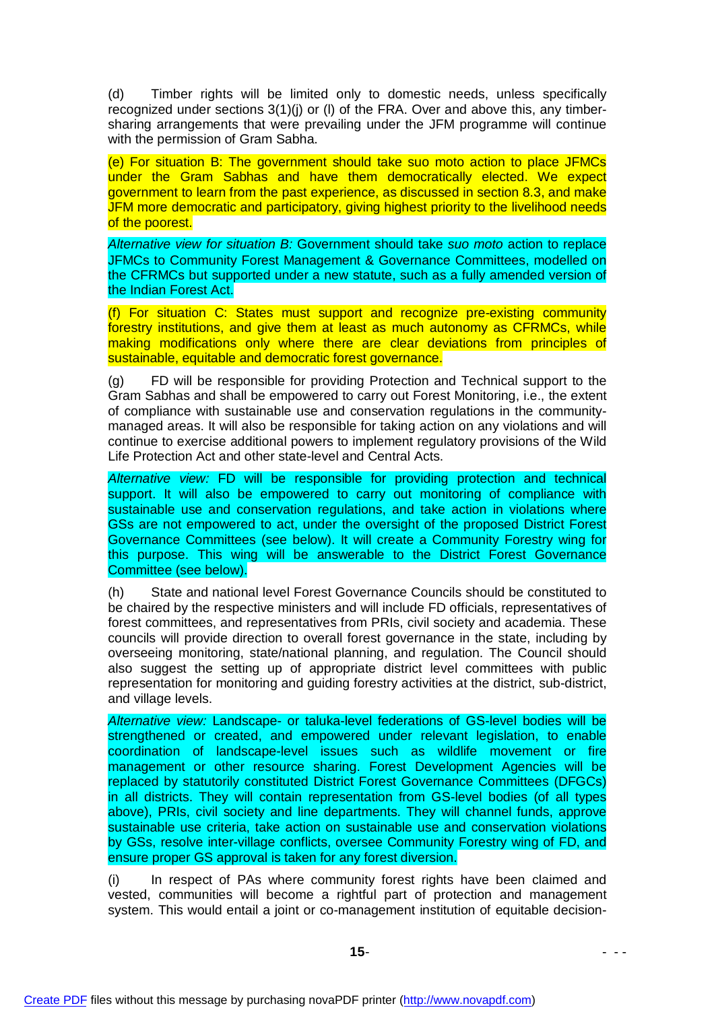(d) Timber rights will be limited only to domestic needs, unless specifically recognized under sections 3(1)(j) or (l) of the FRA. Over and above this, any timbersharing arrangements that were prevailing under the JFM programme will continue with the permission of Gram Sabha.

(e) For situation B: The government should take suo moto action to place JFMCs under the Gram Sabhas and have them democratically elected. We expect government to learn from the past experience, as discussed in section 8.3, and make JFM more democratic and participatory, giving highest priority to the livelihood needs of the poorest.

*Alternative view for situation B:* Government should take *suo moto* action to replace JFMCs to Community Forest Management & Governance Committees, modelled on the CFRMCs but supported under a new statute, such as a fully amended version of the Indian Forest Act.

(f) For situation C: States must support and recognize pre-existing community forestry institutions, and give them at least as much autonomy as CFRMCs, while making modifications only where there are clear deviations from principles of sustainable, equitable and democratic forest governance.

(g) FD will be responsible for providing Protection and Technical support to the Gram Sabhas and shall be empowered to carry out Forest Monitoring, i.e., the extent of compliance with sustainable use and conservation regulations in the communitymanaged areas. It will also be responsible for taking action on any violations and will continue to exercise additional powers to implement regulatory provisions of the Wild Life Protection Act and other state-level and Central Acts.

*Alternative view:* FD will be responsible for providing protection and technical support. It will also be empowered to carry out monitoring of compliance with sustainable use and conservation regulations, and take action in violations where GSs are not empowered to act, under the oversight of the proposed District Forest Governance Committees (see below). It will create a Community Forestry wing for this purpose. This wing will be answerable to the District Forest Governance Committee (see below).

(h) State and national level Forest Governance Councils should be constituted to be chaired by the respective ministers and will include FD officials, representatives of forest committees, and representatives from PRIs, civil society and academia. These councils will provide direction to overall forest governance in the state, including by overseeing monitoring, state/national planning, and regulation. The Council should also suggest the setting up of appropriate district level committees with public representation for monitoring and guiding forestry activities at the district, sub-district, and village levels.

*Alternative view:* Landscape- or taluka-level federations of GS-level bodies will be strengthened or created, and empowered under relevant legislation, to enable coordination of landscape-level issues such as wildlife movement or fire management or other resource sharing. Forest Development Agencies will be replaced by statutorily constituted District Forest Governance Committees (DFGCs) in all districts. They will contain representation from GS-level bodies (of all types above), PRIs, civil society and line departments. They will channel funds, approve sustainable use criteria, take action on sustainable use and conservation violations by GSs, resolve inter-village conflicts, oversee Community Forestry wing of FD, and ensure proper GS approval is taken for any forest diversion.

(i) In respect of PAs where community forest rights have been claimed and vested, communities will become a rightful part of protection and management system. This would entail a joint or co-management institution of equitable decision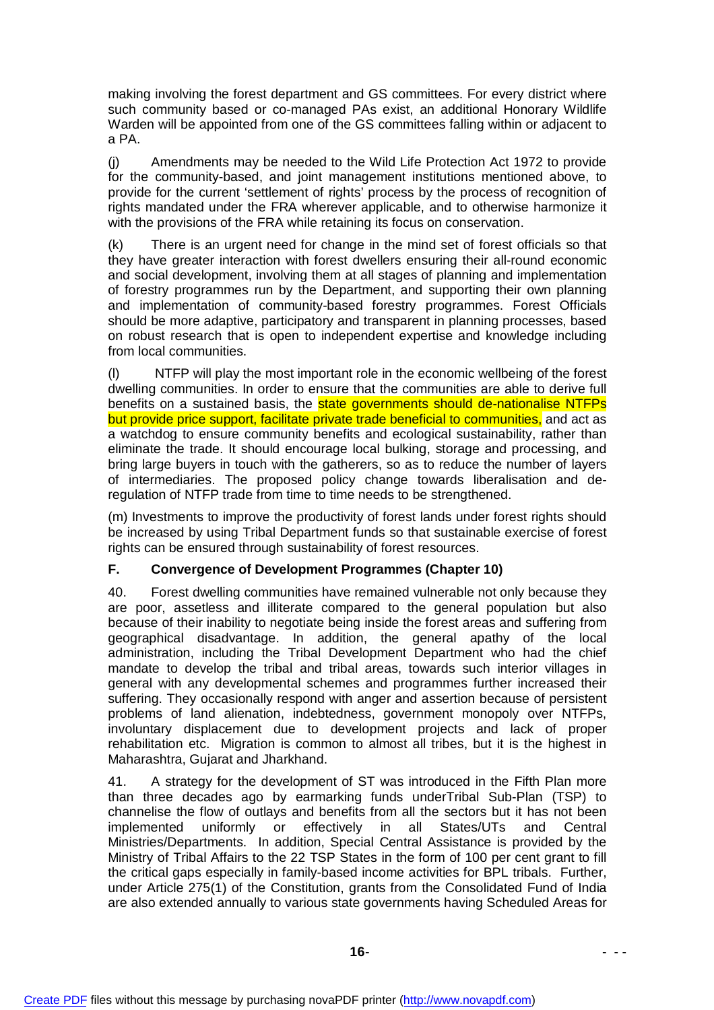making involving the forest department and GS committees. For every district where such community based or co-managed PAs exist, an additional Honorary Wildlife Warden will be appointed from one of the GS committees falling within or adjacent to a PA.

(j) Amendments may be needed to the Wild Life Protection Act 1972 to provide for the community-based, and joint management institutions mentioned above, to provide for the current 'settlement of rights' process by the process of recognition of rights mandated under the FRA wherever applicable, and to otherwise harmonize it with the provisions of the FRA while retaining its focus on conservation.

(k) There is an urgent need for change in the mind set of forest officials so that they have greater interaction with forest dwellers ensuring their all-round economic and social development, involving them at all stages of planning and implementation of forestry programmes run by the Department, and supporting their own planning and implementation of community-based forestry programmes. Forest Officials should be more adaptive, participatory and transparent in planning processes, based on robust research that is open to independent expertise and knowledge including from local communities.

(l) NTFP will play the most important role in the economic wellbeing of the forest dwelling communities. In order to ensure that the communities are able to derive full benefits on a sustained basis, the **state governments should de-nationalise NTFPs** but provide price support, facilitate private trade beneficial to communities, and act as a watchdog to ensure community benefits and ecological sustainability, rather than eliminate the trade. It should encourage local bulking, storage and processing, and bring large buyers in touch with the gatherers, so as to reduce the number of layers of intermediaries. The proposed policy change towards liberalisation and deregulation of NTFP trade from time to time needs to be strengthened.

(m) Investments to improve the productivity of forest lands under forest rights should be increased by using Tribal Department funds so that sustainable exercise of forest rights can be ensured through sustainability of forest resources.

# **F. Convergence of Development Programmes (Chapter 10)**

40. Forest dwelling communities have remained vulnerable not only because they are poor, assetless and illiterate compared to the general population but also because of their inability to negotiate being inside the forest areas and suffering from geographical disadvantage. In addition, the general apathy of the local administration, including the Tribal Development Department who had the chief mandate to develop the tribal and tribal areas, towards such interior villages in general with any developmental schemes and programmes further increased their suffering. They occasionally respond with anger and assertion because of persistent problems of land alienation, indebtedness, government monopoly over NTFPs, involuntary displacement due to development projects and lack of proper rehabilitation etc. Migration is common to almost all tribes, but it is the highest in Maharashtra, Gujarat and Jharkhand.

41. A strategy for the development of ST was introduced in the Fifth Plan more than three decades ago by earmarking funds underTribal Sub-Plan (TSP) to channelise the flow of outlays and benefits from all the sectors but it has not been implemented uniformly or effectively in all States/UTs and Central Ministries/Departments. In addition, Special Central Assistance is provided by the Ministry of Tribal Affairs to the 22 TSP States in the form of 100 per cent grant to fill the critical gaps especially in family-based income activities for BPL tribals. Further, under Article 275(1) of the Constitution, grants from the Consolidated Fund of India are also extended annually to various state governments having Scheduled Areas for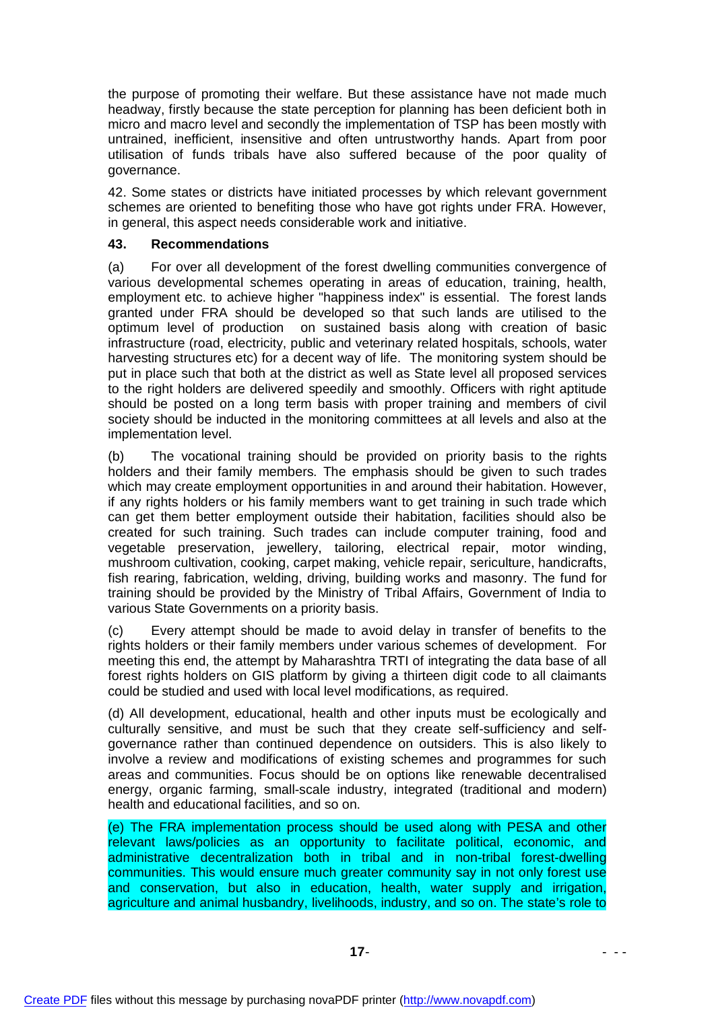the purpose of promoting their welfare. But these assistance have not made much headway, firstly because the state perception for planning has been deficient both in micro and macro level and secondly the implementation of TSP has been mostly with untrained, inefficient, insensitive and often untrustworthy hands. Apart from poor utilisation of funds tribals have also suffered because of the poor quality of governance.

42. Some states or districts have initiated processes by which relevant government schemes are oriented to benefiting those who have got rights under FRA. However, in general, this aspect needs considerable work and initiative.

# **43. Recommendations**

(a) For over all development of the forest dwelling communities convergence of various developmental schemes operating in areas of education, training, health, employment etc. to achieve higher "happiness index" is essential. The forest lands granted under FRA should be developed so that such lands are utilised to the optimum level of production on sustained basis along with creation of basic infrastructure (road, electricity, public and veterinary related hospitals, schools, water harvesting structures etc) for a decent way of life. The monitoring system should be put in place such that both at the district as well as State level all proposed services to the right holders are delivered speedily and smoothly. Officers with right aptitude should be posted on a long term basis with proper training and members of civil society should be inducted in the monitoring committees at all levels and also at the implementation level.

(b) The vocational training should be provided on priority basis to the rights holders and their family members. The emphasis should be given to such trades which may create employment opportunities in and around their habitation. However, if any rights holders or his family members want to get training in such trade which can get them better employment outside their habitation, facilities should also be created for such training. Such trades can include computer training, food and vegetable preservation, jewellery, tailoring, electrical repair, motor winding, mushroom cultivation, cooking, carpet making, vehicle repair, sericulture, handicrafts, fish rearing, fabrication, welding, driving, building works and masonry. The fund for training should be provided by the Ministry of Tribal Affairs, Government of India to various State Governments on a priority basis.

(c) Every attempt should be made to avoid delay in transfer of benefits to the rights holders or their family members under various schemes of development. For meeting this end, the attempt by Maharashtra TRTI of integrating the data base of all forest rights holders on GIS platform by giving a thirteen digit code to all claimants could be studied and used with local level modifications, as required.

(d) All development, educational, health and other inputs must be ecologically and culturally sensitive, and must be such that they create self-sufficiency and selfgovernance rather than continued dependence on outsiders. This is also likely to involve a review and modifications of existing schemes and programmes for such areas and communities. Focus should be on options like renewable decentralised energy, organic farming, small-scale industry, integrated (traditional and modern) health and educational facilities, and so on.

(e) The FRA implementation process should be used along with PESA and other relevant laws/policies as an opportunity to facilitate political, economic, and administrative decentralization both in tribal and in non-tribal forest-dwelling communities. This would ensure much greater community say in not only forest use and conservation, but also in education, health, water supply and irrigation, agriculture and animal husbandry, livelihoods, industry, and so on. The state's role to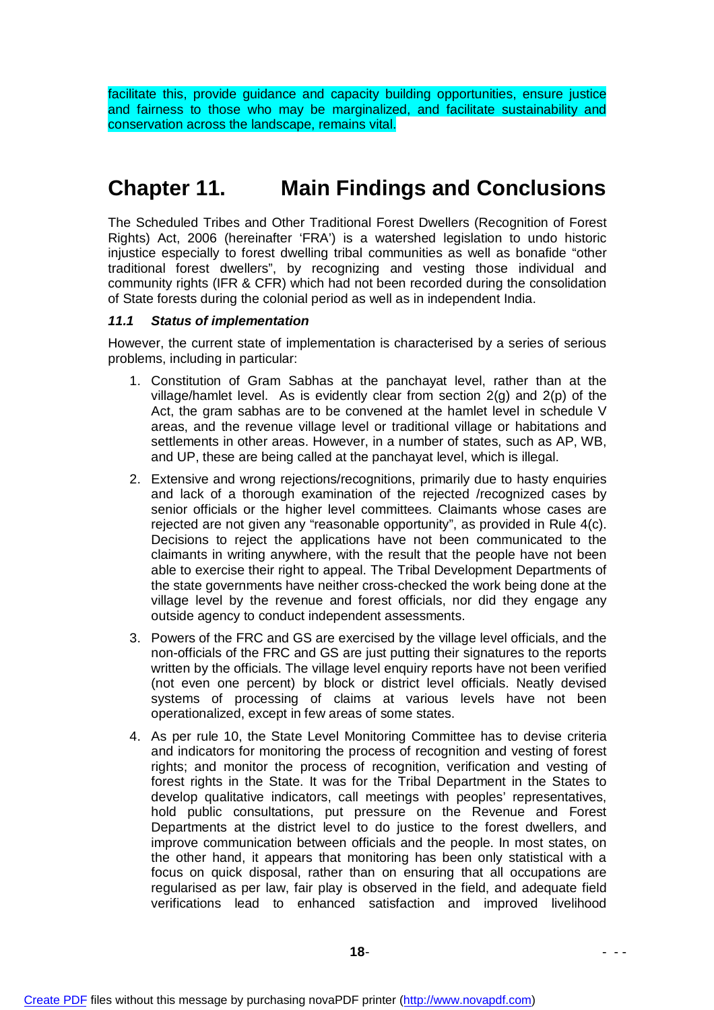facilitate this, provide guidance and capacity building opportunities, ensure justice and fairness to those who may be marginalized, and facilitate sustainability and conservation across the landscape, remains vital.

# **Chapter 11. Main Findings and Conclusions**

The Scheduled Tribes and Other Traditional Forest Dwellers (Recognition of Forest Rights) Act, 2006 (hereinafter 'FRA') is a watershed legislation to undo historic injustice especially to forest dwelling tribal communities as well as bonafide "other traditional forest dwellers", by recognizing and vesting those individual and community rights (IFR & CFR) which had not been recorded during the consolidation of State forests during the colonial period as well as in independent India.

### *11.1 Status of implementation*

However, the current state of implementation is characterised by a series of serious problems, including in particular:

- 1. Constitution of Gram Sabhas at the panchayat level, rather than at the village/hamlet level. As is evidently clear from section  $2(q)$  and  $2(p)$  of the Act, the gram sabhas are to be convened at the hamlet level in schedule V areas, and the revenue village level or traditional village or habitations and settlements in other areas. However, in a number of states, such as AP, WB, and UP, these are being called at the panchayat level, which is illegal.
- 2. Extensive and wrong rejections/recognitions, primarily due to hasty enquiries and lack of a thorough examination of the rejected /recognized cases by senior officials or the higher level committees. Claimants whose cases are rejected are not given any "reasonable opportunity", as provided in Rule 4(c). Decisions to reject the applications have not been communicated to the claimants in writing anywhere, with the result that the people have not been able to exercise their right to appeal. The Tribal Development Departments of the state governments have neither cross-checked the work being done at the village level by the revenue and forest officials, nor did they engage any outside agency to conduct independent assessments.
- 3. Powers of the FRC and GS are exercised by the village level officials, and the non-officials of the FRC and GS are just putting their signatures to the reports written by the officials. The village level enquiry reports have not been verified (not even one percent) by block or district level officials. Neatly devised systems of processing of claims at various levels have not been operationalized, except in few areas of some states.
- 4. As per rule 10, the State Level Monitoring Committee has to devise criteria and indicators for monitoring the process of recognition and vesting of forest rights; and monitor the process of recognition, verification and vesting of forest rights in the State. It was for the Tribal Department in the States to develop qualitative indicators, call meetings with peoples' representatives, hold public consultations, put pressure on the Revenue and Forest Departments at the district level to do justice to the forest dwellers, and improve communication between officials and the people. In most states, on the other hand, it appears that monitoring has been only statistical with a focus on quick disposal, rather than on ensuring that all occupations are regularised as per law, fair play is observed in the field, and adequate field verifications lead to enhanced satisfaction and improved livelihood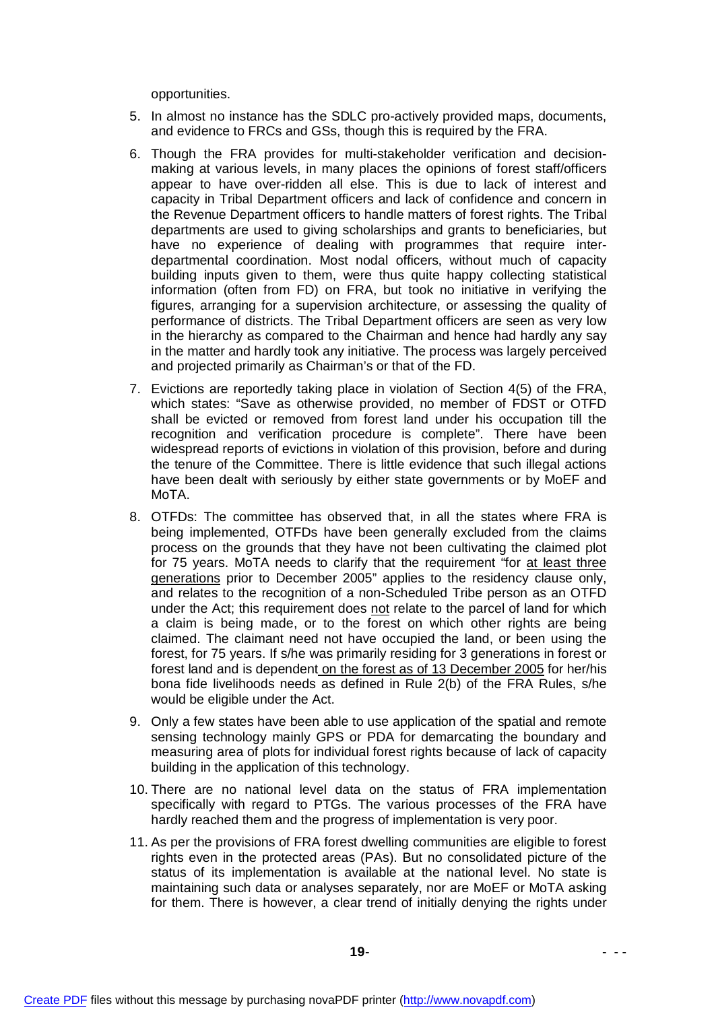opportunities.

- 5. In almost no instance has the SDLC pro-actively provided maps, documents, and evidence to FRCs and GSs, though this is required by the FRA.
- 6. Though the FRA provides for multi-stakeholder verification and decisionmaking at various levels, in many places the opinions of forest staff/officers appear to have over-ridden all else. This is due to lack of interest and capacity in Tribal Department officers and lack of confidence and concern in the Revenue Department officers to handle matters of forest rights. The Tribal departments are used to giving scholarships and grants to beneficiaries, but have no experience of dealing with programmes that require interdepartmental coordination. Most nodal officers, without much of capacity building inputs given to them, were thus quite happy collecting statistical information (often from FD) on FRA, but took no initiative in verifying the figures, arranging for a supervision architecture, or assessing the quality of performance of districts. The Tribal Department officers are seen as very low in the hierarchy as compared to the Chairman and hence had hardly any say in the matter and hardly took any initiative. The process was largely perceived and projected primarily as Chairman's or that of the FD.
- 7. Evictions are reportedly taking place in violation of Section 4(5) of the FRA, which states: "Save as otherwise provided, no member of FDST or OTFD shall be evicted or removed from forest land under his occupation till the recognition and verification procedure is complete". There have been widespread reports of evictions in violation of this provision, before and during the tenure of the Committee. There is little evidence that such illegal actions have been dealt with seriously by either state governments or by MoEF and MoTA.
- 8. OTFDs: The committee has observed that, in all the states where FRA is being implemented, OTFDs have been generally excluded from the claims process on the grounds that they have not been cultivating the claimed plot for 75 years. MoTA needs to clarify that the requirement "for at least three generations prior to December 2005" applies to the residency clause only, and relates to the recognition of a non-Scheduled Tribe person as an OTFD under the Act; this requirement does not relate to the parcel of land for which a claim is being made, or to the forest on which other rights are being claimed. The claimant need not have occupied the land, or been using the forest, for 75 years. If s/he was primarily residing for 3 generations in forest or forest land and is dependent on the forest as of 13 December 2005 for her/his bona fide livelihoods needs as defined in Rule 2(b) of the FRA Rules, s/he would be eligible under the Act.
- 9. Only a few states have been able to use application of the spatial and remote sensing technology mainly GPS or PDA for demarcating the boundary and measuring area of plots for individual forest rights because of lack of capacity building in the application of this technology.
- 10. There are no national level data on the status of FRA implementation specifically with regard to PTGs. The various processes of the FRA have hardly reached them and the progress of implementation is very poor.
- 11. As per the provisions of FRA forest dwelling communities are eligible to forest rights even in the protected areas (PAs). But no consolidated picture of the status of its implementation is available at the national level. No state is maintaining such data or analyses separately, nor are MoEF or MoTA asking for them. There is however, a clear trend of initially denying the rights under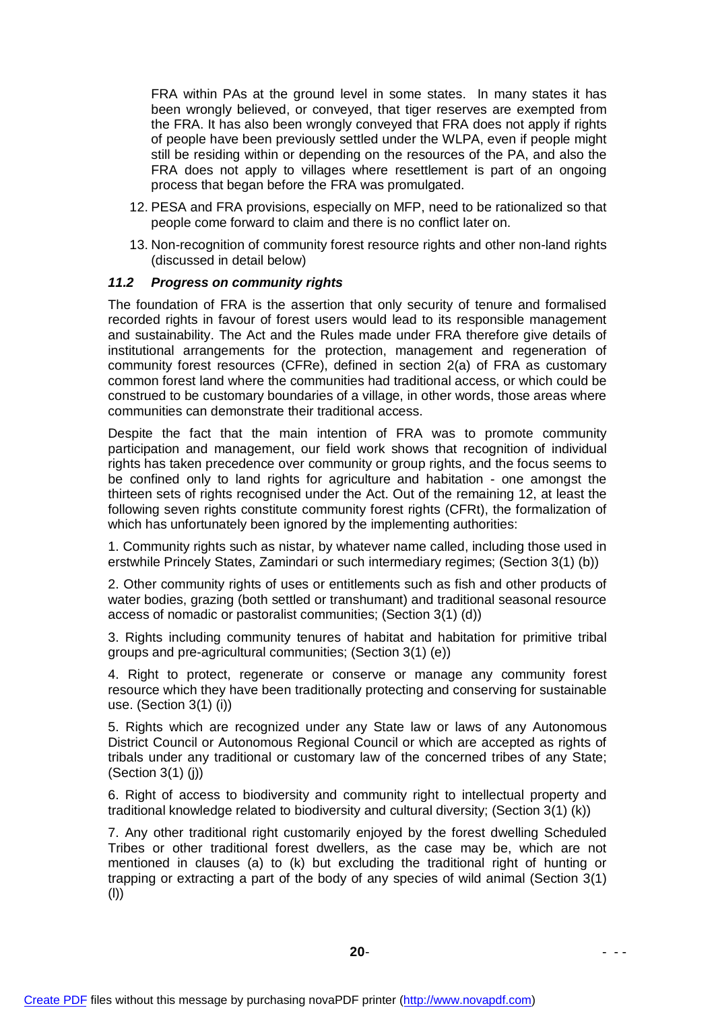FRA within PAs at the ground level in some states. In many states it has been wrongly believed, or conveyed, that tiger reserves are exempted from the FRA. It has also been wrongly conveyed that FRA does not apply if rights of people have been previously settled under the WLPA, even if people might still be residing within or depending on the resources of the PA, and also the FRA does not apply to villages where resettlement is part of an ongoing process that began before the FRA was promulgated.

- 12. PESA and FRA provisions, especially on MFP, need to be rationalized so that people come forward to claim and there is no conflict later on.
- 13. Non-recognition of community forest resource rights and other non-land rights (discussed in detail below)

#### *11.2 Progress on community rights*

The foundation of FRA is the assertion that only security of tenure and formalised recorded rights in favour of forest users would lead to its responsible management and sustainability. The Act and the Rules made under FRA therefore give details of institutional arrangements for the protection, management and regeneration of community forest resources (CFRe), defined in section 2(a) of FRA as customary common forest land where the communities had traditional access, or which could be construed to be customary boundaries of a village, in other words, those areas where communities can demonstrate their traditional access.

Despite the fact that the main intention of FRA was to promote community participation and management, our field work shows that recognition of individual rights has taken precedence over community or group rights, and the focus seems to be confined only to land rights for agriculture and habitation - one amongst the thirteen sets of rights recognised under the Act. Out of the remaining 12, at least the following seven rights constitute community forest rights (CFRt), the formalization of which has unfortunately been ignored by the implementing authorities:

1. Community rights such as nistar, by whatever name called, including those used in erstwhile Princely States, Zamindari or such intermediary regimes; (Section 3(1) (b))

2. Other community rights of uses or entitlements such as fish and other products of water bodies, grazing (both settled or transhumant) and traditional seasonal resource access of nomadic or pastoralist communities; (Section 3(1) (d))

3. Rights including community tenures of habitat and habitation for primitive tribal groups and pre-agricultural communities; (Section 3(1) (e))

4. Right to protect, regenerate or conserve or manage any community forest resource which they have been traditionally protecting and conserving for sustainable use. (Section 3(1) (i))

5. Rights which are recognized under any State law or laws of any Autonomous District Council or Autonomous Regional Council or which are accepted as rights of tribals under any traditional or customary law of the concerned tribes of any State; (Section 3(1) (j))

6. Right of access to biodiversity and community right to intellectual property and traditional knowledge related to biodiversity and cultural diversity; (Section 3(1) (k))

7. Any other traditional right customarily enjoyed by the forest dwelling Scheduled Tribes or other traditional forest dwellers, as the case may be, which are not mentioned in clauses (a) to (k) but excluding the traditional right of hunting or trapping or extracting a part of the body of any species of wild animal (Section 3(1) (l))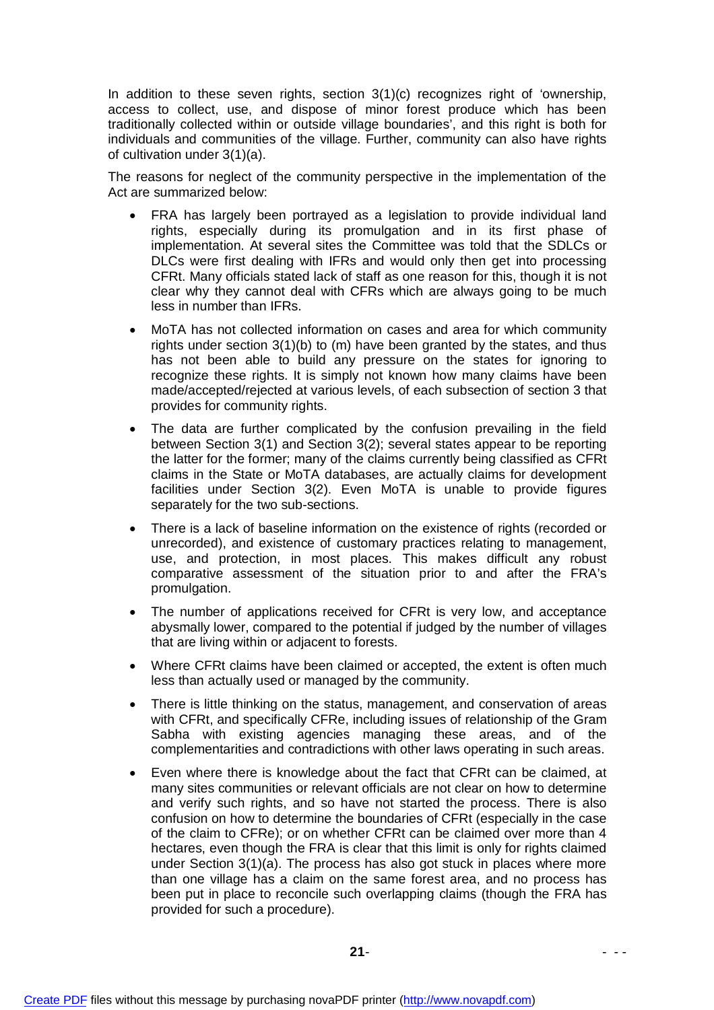In addition to these seven rights, section  $3(1)(c)$  recognizes right of 'ownership, access to collect, use, and dispose of minor forest produce which has been traditionally collected within or outside village boundaries', and this right is both for individuals and communities of the village. Further, community can also have rights of cultivation under 3(1)(a).

The reasons for neglect of the community perspective in the implementation of the Act are summarized below:

- FRA has largely been portrayed as a legislation to provide individual land rights, especially during its promulgation and in its first phase of implementation. At several sites the Committee was told that the SDLCs or DLCs were first dealing with IFRs and would only then get into processing CFRt. Many officials stated lack of staff as one reason for this, though it is not clear why they cannot deal with CFRs which are always going to be much less in number than IFRs.
- MoTA has not collected information on cases and area for which community rights under section 3(1)(b) to (m) have been granted by the states, and thus has not been able to build any pressure on the states for ignoring to recognize these rights. It is simply not known how many claims have been made/accepted/rejected at various levels, of each subsection of section 3 that provides for community rights.
- The data are further complicated by the confusion prevailing in the field between Section 3(1) and Section 3(2); several states appear to be reporting the latter for the former; many of the claims currently being classified as CFRt claims in the State or MoTA databases, are actually claims for development facilities under Section 3(2). Even MoTA is unable to provide figures separately for the two sub-sections.
- There is a lack of baseline information on the existence of rights (recorded or unrecorded), and existence of customary practices relating to management, use, and protection, in most places. This makes difficult any robust comparative assessment of the situation prior to and after the FRA's promulgation.
- The number of applications received for CFRt is very low, and acceptance abysmally lower, compared to the potential if judged by the number of villages that are living within or adjacent to forests.
- Where CFRt claims have been claimed or accepted, the extent is often much less than actually used or managed by the community.
- There is little thinking on the status, management, and conservation of areas with CFRt, and specifically CFRe, including issues of relationship of the Gram Sabha with existing agencies managing these areas, and of the complementarities and contradictions with other laws operating in such areas.
- Even where there is knowledge about the fact that CFRt can be claimed, at many sites communities or relevant officials are not clear on how to determine and verify such rights, and so have not started the process. There is also confusion on how to determine the boundaries of CFRt (especially in the case of the claim to CFRe); or on whether CFRt can be claimed over more than 4 hectares, even though the FRA is clear that this limit is only for rights claimed under Section 3(1)(a). The process has also got stuck in places where more than one village has a claim on the same forest area, and no process has been put in place to reconcile such overlapping claims (though the FRA has provided for such a procedure).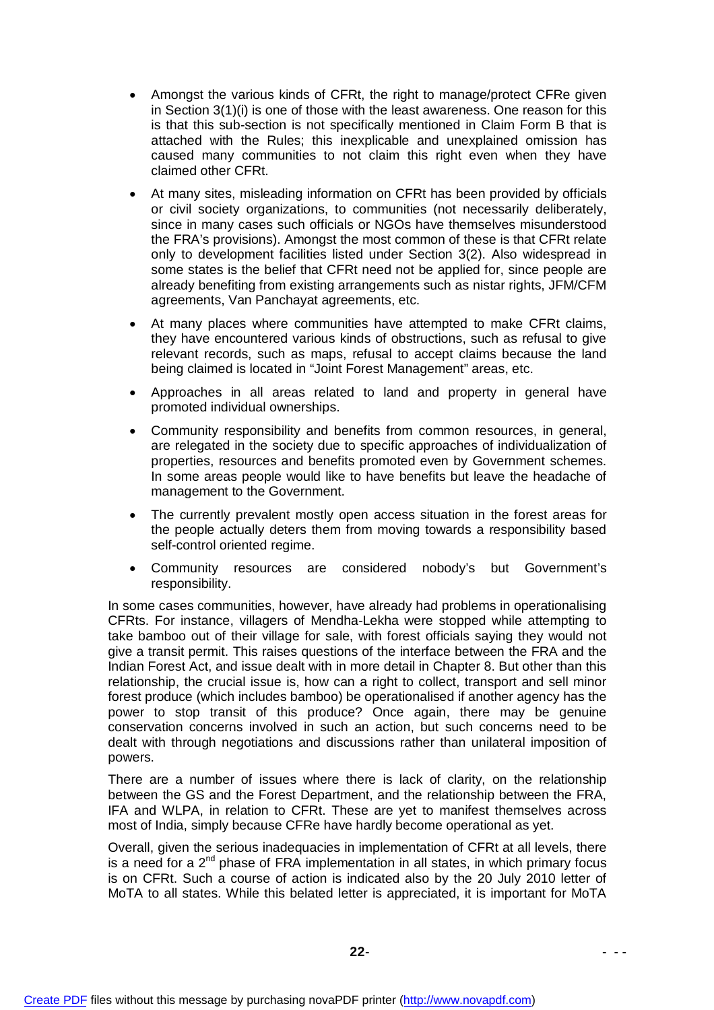- Amongst the various kinds of CFRt, the right to manage/protect CFRe given in Section 3(1)(i) is one of those with the least awareness. One reason for this is that this sub-section is not specifically mentioned in Claim Form B that is attached with the Rules; this inexplicable and unexplained omission has caused many communities to not claim this right even when they have claimed other CFRt.
- At many sites, misleading information on CFRt has been provided by officials or civil society organizations, to communities (not necessarily deliberately, since in many cases such officials or NGOs have themselves misunderstood the FRA's provisions). Amongst the most common of these is that CFRt relate only to development facilities listed under Section 3(2). Also widespread in some states is the belief that CFRt need not be applied for, since people are already benefiting from existing arrangements such as nistar rights, JFM/CFM agreements, Van Panchayat agreements, etc.
- At many places where communities have attempted to make CFRt claims, they have encountered various kinds of obstructions, such as refusal to give relevant records, such as maps, refusal to accept claims because the land being claimed is located in "Joint Forest Management" areas, etc.
- Approaches in all areas related to land and property in general have promoted individual ownerships.
- Community responsibility and benefits from common resources, in general, are relegated in the society due to specific approaches of individualization of properties, resources and benefits promoted even by Government schemes. In some areas people would like to have benefits but leave the headache of management to the Government.
- The currently prevalent mostly open access situation in the forest areas for the people actually deters them from moving towards a responsibility based self-control oriented regime.
- Community resources are considered nobody's but Government's responsibility.

In some cases communities, however, have already had problems in operationalising CFRts. For instance, villagers of Mendha-Lekha were stopped while attempting to take bamboo out of their village for sale, with forest officials saying they would not give a transit permit. This raises questions of the interface between the FRA and the Indian Forest Act, and issue dealt with in more detail in Chapter 8. But other than this relationship, the crucial issue is, how can a right to collect, transport and sell minor forest produce (which includes bamboo) be operationalised if another agency has the power to stop transit of this produce? Once again, there may be genuine conservation concerns involved in such an action, but such concerns need to be dealt with through negotiations and discussions rather than unilateral imposition of powers.

There are a number of issues where there is lack of clarity, on the relationship between the GS and the Forest Department, and the relationship between the FRA, IFA and WLPA, in relation to CFRt. These are yet to manifest themselves across most of India, simply because CFRe have hardly become operational as yet.

Overall, given the serious inadequacies in implementation of CFRt at all levels, there is a need for a  $2<sup>nd</sup>$  phase of FRA implementation in all states, in which primary focus is on CFRt. Such a course of action is indicated also by the 20 July 2010 letter of MoTA to all states. While this belated letter is appreciated, it is important for MoTA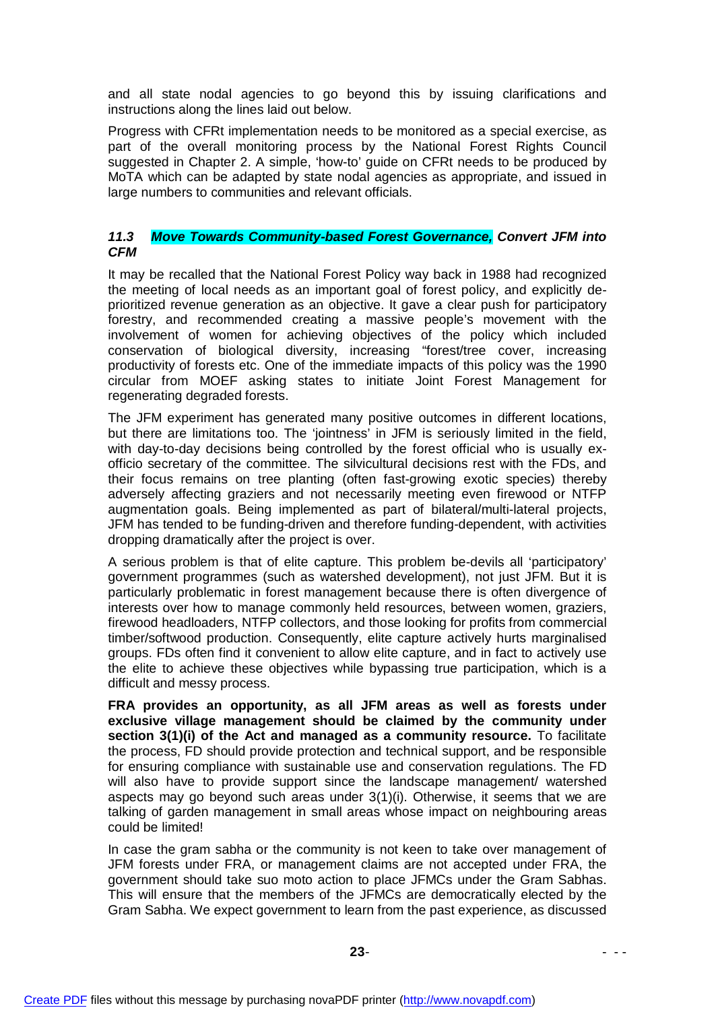and all state nodal agencies to go beyond this by issuing clarifications and instructions along the lines laid out below.

Progress with CFRt implementation needs to be monitored as a special exercise, as part of the overall monitoring process by the National Forest Rights Council suggested in Chapter 2. A simple, 'how-to' guide on CFRt needs to be produced by MoTA which can be adapted by state nodal agencies as appropriate, and issued in large numbers to communities and relevant officials.

### *11.3 Move Towards Community-based Forest Governance, Convert JFM into CFM*

It may be recalled that the National Forest Policy way back in 1988 had recognized the meeting of local needs as an important goal of forest policy, and explicitly deprioritized revenue generation as an objective. It gave a clear push for participatory forestry, and recommended creating a massive people's movement with the involvement of women for achieving objectives of the policy which included conservation of biological diversity, increasing "forest/tree cover, increasing productivity of forests etc. One of the immediate impacts of this policy was the 1990 circular from MOEF asking states to initiate Joint Forest Management for regenerating degraded forests.

The JFM experiment has generated many positive outcomes in different locations, but there are limitations too. The 'jointness' in JFM is seriously limited in the field, with day-to-day decisions being controlled by the forest official who is usually exofficio secretary of the committee. The silvicultural decisions rest with the FDs, and their focus remains on tree planting (often fast-growing exotic species) thereby adversely affecting graziers and not necessarily meeting even firewood or NTFP augmentation goals. Being implemented as part of bilateral/multi-lateral projects, JFM has tended to be funding-driven and therefore funding-dependent, with activities dropping dramatically after the project is over.

A serious problem is that of elite capture. This problem be-devils all 'participatory' government programmes (such as watershed development), not just JFM. But it is particularly problematic in forest management because there is often divergence of interests over how to manage commonly held resources, between women, graziers, firewood headloaders, NTFP collectors, and those looking for profits from commercial timber/softwood production. Consequently, elite capture actively hurts marginalised groups. FDs often find it convenient to allow elite capture, and in fact to actively use the elite to achieve these objectives while bypassing true participation, which is a difficult and messy process.

**FRA provides an opportunity, as all JFM areas as well as forests under exclusive village management should be claimed by the community under section 3(1)(i) of the Act and managed as a community resource.** To facilitate the process, FD should provide protection and technical support, and be responsible for ensuring compliance with sustainable use and conservation regulations. The FD will also have to provide support since the landscape management/ watershed aspects may go beyond such areas under 3(1)(i). Otherwise, it seems that we are talking of garden management in small areas whose impact on neighbouring areas could be limited!

In case the gram sabha or the community is not keen to take over management of JFM forests under FRA, or management claims are not accepted under FRA, the government should take suo moto action to place JFMCs under the Gram Sabhas. This will ensure that the members of the JFMCs are democratically elected by the Gram Sabha. We expect government to learn from the past experience, as discussed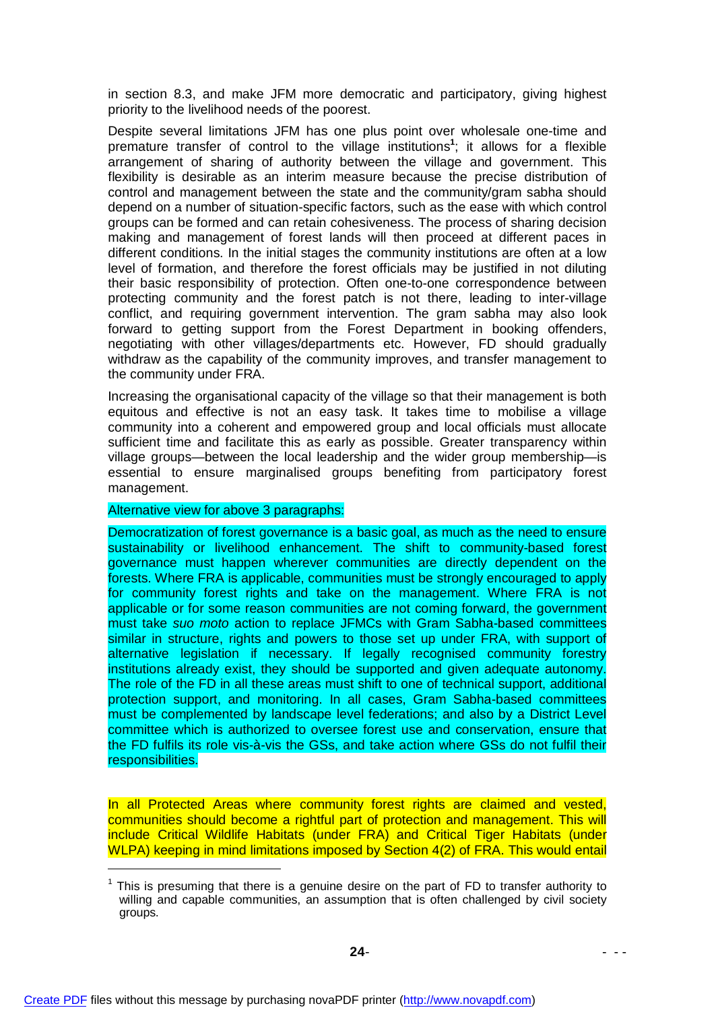in section 8.3, and make JFM more democratic and participatory, giving highest priority to the livelihood needs of the poorest.

Despite several limitations JFM has one plus point over wholesale one-time and premature transfer of control to the village i[nstitutions](#page-23-0)**<sup>1</sup>** ; it allows for a flexible arrangement of sharing of authority between the village and government. This flexibility is desirable as an interim measure because the precise distribution of control and management between the state and the community/gram sabha should depend on a number of situation-specific factors, such as the ease with which control groups can be formed and can retain cohesiveness. The process of sharing decision making and management of forest lands will then proceed at different paces in different conditions. In the initial stages the community institutions are often at a low level of formation, and therefore the forest officials may be justified in not diluting their basic responsibility of protection. Often one-to-one correspondence between protecting community and the forest patch is not there, leading to inter-village conflict, and requiring government intervention. The gram sabha may also look forward to getting support from the Forest Department in booking offenders, negotiating with other villages/departments etc. However, FD should gradually withdraw as the capability of the community improves, and transfer management to the community under FRA.

Increasing the organisational capacity of the village so that their management is both equitous and effective is not an easy task. It takes time to mobilise a village community into a coherent and empowered group and local officials must allocate sufficient time and facilitate this as early as possible. Greater transparency within village groups—between the local leadership and the wider group membership—is essential to ensure marginalised groups benefiting from participatory forest management.

#### Alternative view for above 3 paragraphs:

 $\overline{a}$ 

Democratization of forest governance is a basic goal, as much as the need to ensure sustainability or livelihood enhancement. The shift to community-based forest governance must happen wherever communities are directly dependent on the forests. Where FRA is applicable, communities must be strongly encouraged to apply for community forest rights and take on the management. Where FRA is not applicable or for some reason communities are not coming forward, the government must take *suo moto* action to replace JFMCs with Gram Sabha-based committees similar in structure, rights and powers to those set up under FRA, with support of alternative legislation if necessary. If legally recognised community forestry institutions already exist, they should be supported and given adequate autonomy. The role of the FD in all these areas must shift to one of technical support, additional protection support, and monitoring. In all cases, Gram Sabha-based committees must be complemented by landscape level federations; and also by a District Level committee which is authorized to oversee forest use and conservation, ensure that the FD fulfils its role vis-à-vis the GSs, and take action where GSs do not fulfil their responsibilities.

In all Protected Areas where community forest rights are claimed and vested, communities should become a rightful part of protection and management. This will include Critical Wildlife Habitats (under FRA) and Critical Tiger Habitats (under WLPA) keeping in mind limitations imposed by Section 4(2) of FRA. This would entail

<span id="page-23-0"></span> $1$  This is presuming that there is a genuine desire on the part of FD to transfer authority to willing and capable communities, an assumption that is often challenged by civil society groups.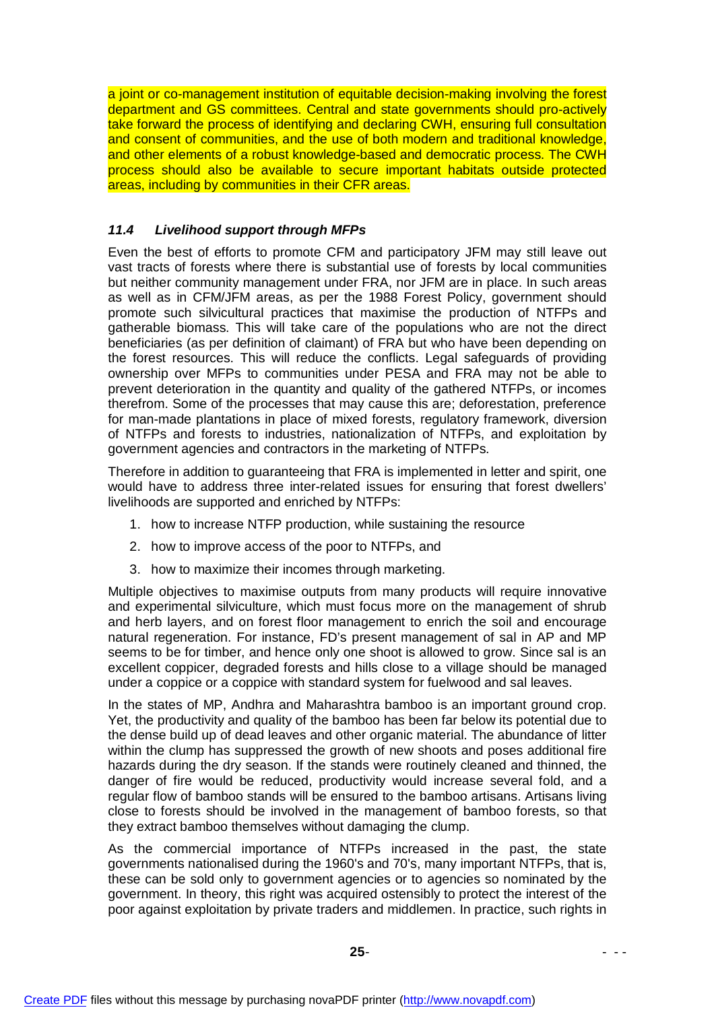a joint or co-management institution of equitable decision-making involving the forest department and GS committees. Central and state governments should pro-actively take forward the process of identifying and declaring CWH, ensuring full consultation and consent of communities, and the use of both modern and traditional knowledge, and other elements of a robust knowledge-based and democratic process. The CWH process should also be available to secure important habitats outside protected areas, including by communities in their CFR areas.

# *11.4 Livelihood support through MFPs*

Even the best of efforts to promote CFM and participatory JFM may still leave out vast tracts of forests where there is substantial use of forests by local communities but neither community management under FRA, nor JFM are in place. In such areas as well as in CFM/JFM areas, as per the 1988 Forest Policy, government should promote such silvicultural practices that maximise the production of NTFPs and gatherable biomass. This will take care of the populations who are not the direct beneficiaries (as per definition of claimant) of FRA but who have been depending on the forest resources. This will reduce the conflicts. Legal safeguards of providing ownership over MFPs to communities under PESA and FRA may not be able to prevent deterioration in the quantity and quality of the gathered NTFPs, or incomes therefrom. Some of the processes that may cause this are; deforestation, preference for man-made plantations in place of mixed forests, regulatory framework, diversion of NTFPs and forests to industries, nationalization of NTFPs, and exploitation by government agencies and contractors in the marketing of NTFPs.

Therefore in addition to guaranteeing that FRA is implemented in letter and spirit, one would have to address three inter-related issues for ensuring that forest dwellers' livelihoods are supported and enriched by NTFPs:

- 1. how to increase NTFP production, while sustaining the resource
- 2. how to improve access of the poor to NTFPs, and
- 3. how to maximize their incomes through marketing.

Multiple objectives to maximise outputs from many products will require innovative and experimental silviculture, which must focus more on the management of shrub and herb layers, and on forest floor management to enrich the soil and encourage natural regeneration. For instance, FD's present management of sal in AP and MP seems to be for timber, and hence only one shoot is allowed to grow. Since sal is an excellent coppicer, degraded forests and hills close to a village should be managed under a coppice or a coppice with standard system for fuelwood and sal leaves.

In the states of MP, Andhra and Maharashtra bamboo is an important ground crop. Yet, the productivity and quality of the bamboo has been far below its potential due to the dense build up of dead leaves and other organic material. The abundance of litter within the clump has suppressed the growth of new shoots and poses additional fire hazards during the dry season. If the stands were routinely cleaned and thinned, the danger of fire would be reduced, productivity would increase several fold, and a regular flow of bamboo stands will be ensured to the bamboo artisans. Artisans living close to forests should be involved in the management of bamboo forests, so that they extract bamboo themselves without damaging the clump.

As the commercial importance of NTFPs increased in the past, the state governments nationalised during the 1960's and 70's, many important NTFPs, that is, these can be sold only to government agencies or to agencies so nominated by the government. In theory, this right was acquired ostensibly to protect the interest of the poor against exploitation by private traders and middlemen. In practice, such rights in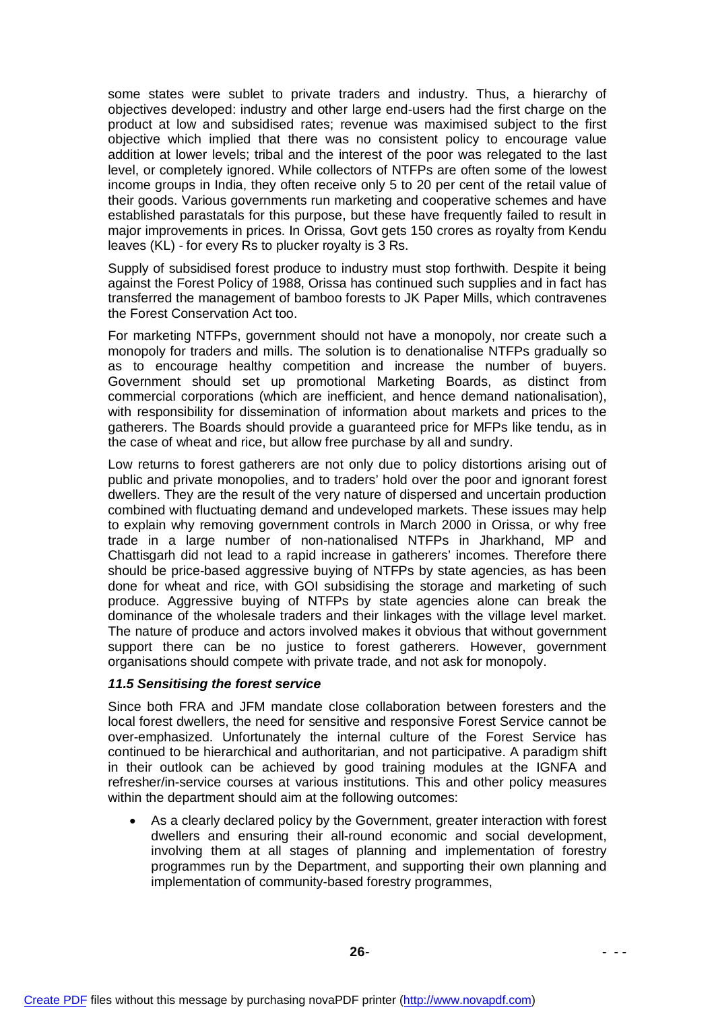some states were sublet to private traders and industry. Thus, a hierarchy of objectives developed: industry and other large end-users had the first charge on the product at low and subsidised rates; revenue was maximised subject to the first objective which implied that there was no consistent policy to encourage value addition at lower levels; tribal and the interest of the poor was relegated to the last level, or completely ignored. While collectors of NTFPs are often some of the lowest income groups in India, they often receive only 5 to 20 per cent of the retail value of their goods. Various governments run marketing and cooperative schemes and have established parastatals for this purpose, but these have frequently failed to result in major improvements in prices. In Orissa, Govt gets 150 crores as royalty from Kendu leaves (KL) - for every Rs to plucker royalty is 3 Rs.

Supply of subsidised forest produce to industry must stop forthwith. Despite it being against the Forest Policy of 1988, Orissa has continued such supplies and in fact has transferred the management of bamboo forests to JK Paper Mills, which contravenes the Forest Conservation Act too.

For marketing NTFPs, government should not have a monopoly, nor create such a monopoly for traders and mills. The solution is to denationalise NTFPs gradually so as to encourage healthy competition and increase the number of buyers. Government should set up promotional Marketing Boards, as distinct from commercial corporations (which are inefficient, and hence demand nationalisation), with responsibility for dissemination of information about markets and prices to the gatherers. The Boards should provide a guaranteed price for MFPs like tendu, as in the case of wheat and rice, but allow free purchase by all and sundry.

Low returns to forest gatherers are not only due to policy distortions arising out of public and private monopolies, and to traders' hold over the poor and ignorant forest dwellers. They are the result of the very nature of dispersed and uncertain production combined with fluctuating demand and undeveloped markets. These issues may help to explain why removing government controls in March 2000 in Orissa, or why free trade in a large number of non-nationalised NTFPs in Jharkhand, MP and Chattisgarh did not lead to a rapid increase in gatherers' incomes. Therefore there should be price-based aggressive buying of NTFPs by state agencies, as has been done for wheat and rice, with GOI subsidising the storage and marketing of such produce. Aggressive buying of NTFPs by state agencies alone can break the dominance of the wholesale traders and their linkages with the village level market. The nature of produce and actors involved makes it obvious that without government support there can be no justice to forest gatherers. However, government organisations should compete with private trade, and not ask for monopoly.

#### *11.5 Sensitising the forest service*

Since both FRA and JFM mandate close collaboration between foresters and the local forest dwellers, the need for sensitive and responsive Forest Service cannot be over-emphasized. Unfortunately the internal culture of the Forest Service has continued to be hierarchical and authoritarian, and not participative. A paradigm shift in their outlook can be achieved by good training modules at the IGNFA and refresher/in-service courses at various institutions. This and other policy measures within the department should aim at the following outcomes:

 As a clearly declared policy by the Government, greater interaction with forest dwellers and ensuring their all-round economic and social development, involving them at all stages of planning and implementation of forestry programmes run by the Department, and supporting their own planning and implementation of community-based forestry programmes,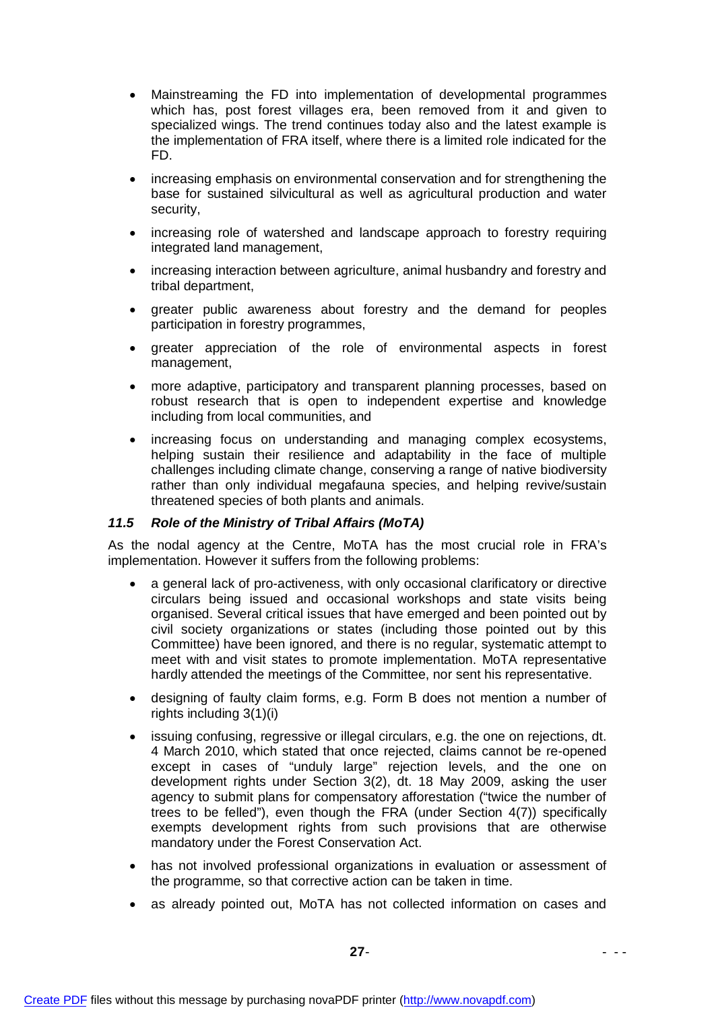- Mainstreaming the FD into implementation of developmental programmes which has, post forest villages era, been removed from it and given to specialized wings. The trend continues today also and the latest example is the implementation of FRA itself, where there is a limited role indicated for the FD.
- increasing emphasis on environmental conservation and for strengthening the base for sustained silvicultural as well as agricultural production and water security,
- increasing role of watershed and landscape approach to forestry requiring integrated land management,
- increasing interaction between agriculture, animal husbandry and forestry and tribal department,
- greater public awareness about forestry and the demand for peoples participation in forestry programmes,
- greater appreciation of the role of environmental aspects in forest management,
- more adaptive, participatory and transparent planning processes, based on robust research that is open to independent expertise and knowledge including from local communities, and
- increasing focus on understanding and managing complex ecosystems, helping sustain their resilience and adaptability in the face of multiple challenges including climate change, conserving a range of native biodiversity rather than only individual megafauna species, and helping revive/sustain threatened species of both plants and animals.

# *11.5 Role of the Ministry of Tribal Affairs (MoTA)*

As the nodal agency at the Centre, MoTA has the most crucial role in FRA's implementation. However it suffers from the following problems:

- a general lack of pro-activeness, with only occasional clarificatory or directive circulars being issued and occasional workshops and state visits being organised. Several critical issues that have emerged and been pointed out by civil society organizations or states (including those pointed out by this Committee) have been ignored, and there is no regular, systematic attempt to meet with and visit states to promote implementation. MoTA representative hardly attended the meetings of the Committee, nor sent his representative.
- designing of faulty claim forms, e.g. Form B does not mention a number of rights including 3(1)(i)
- issuing confusing, regressive or illegal circulars, e.g. the one on rejections, dt. 4 March 2010, which stated that once rejected, claims cannot be re-opened except in cases of "unduly large" rejection levels, and the one on development rights under Section 3(2), dt. 18 May 2009, asking the user agency to submit plans for compensatory afforestation ("twice the number of trees to be felled"), even though the FRA (under Section 4(7)) specifically exempts development rights from such provisions that are otherwise mandatory under the Forest Conservation Act.
- has not involved professional organizations in evaluation or assessment of the programme, so that corrective action can be taken in time.
- as already pointed out, MoTA has not collected information on cases and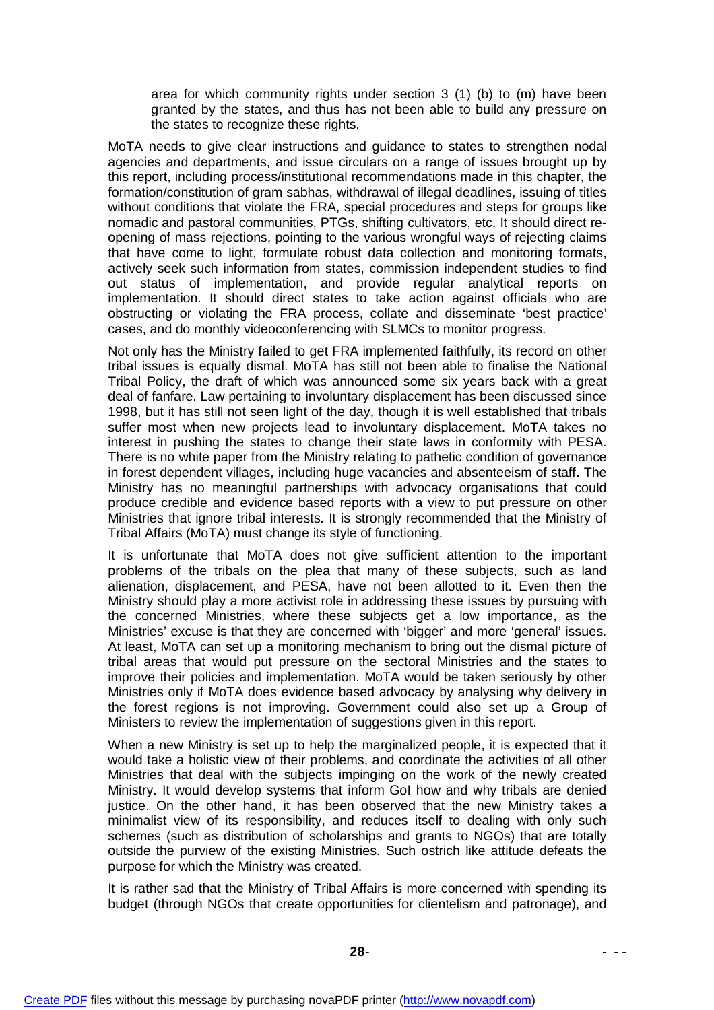area for which community rights under section  $3(1)(b)$  to  $(m)$  have been granted by the states, and thus has not been able to build any pressure on the states to recognize these rights.

MoTA needs to give clear instructions and guidance to states to strengthen nodal agencies and departments, and issue circulars on a range of issues brought up by this report, including process/institutional recommendations made in this chapter, the formation/constitution of gram sabhas, withdrawal of illegal deadlines, issuing of titles without conditions that violate the FRA, special procedures and steps for groups like nomadic and pastoral communities, PTGs, shifting cultivators, etc. It should direct reopening of mass rejections, pointing to the various wrongful ways of rejecting claims that have come to light, formulate robust data collection and monitoring formats, actively seek such information from states, commission independent studies to find out status of implementation, and provide regular analytical reports on implementation. It should direct states to take action against officials who are obstructing or violating the FRA process, collate and disseminate 'best practice' cases, and do monthly videoconferencing with SLMCs to monitor progress.

Not only has the Ministry failed to get FRA implemented faithfully, its record on other tribal issues is equally dismal. MoTA has still not been able to finalise the National Tribal Policy, the draft of which was announced some six years back with a great deal of fanfare. Law pertaining to involuntary displacement has been discussed since 1998, but it has still not seen light of the day, though it is well established that tribals suffer most when new projects lead to involuntary displacement. MoTA takes no interest in pushing the states to change their state laws in conformity with PESA. There is no white paper from the Ministry relating to pathetic condition of governance in forest dependent villages, including huge vacancies and absenteeism of staff. The Ministry has no meaningful partnerships with advocacy organisations that could produce credible and evidence based reports with a view to put pressure on other Ministries that ignore tribal interests. It is strongly recommended that the Ministry of Tribal Affairs (MoTA) must change its style of functioning.

It is unfortunate that MoTA does not give sufficient attention to the important problems of the tribals on the plea that many of these subjects, such as land alienation, displacement, and PESA, have not been allotted to it. Even then the Ministry should play a more activist role in addressing these issues by pursuing with the concerned Ministries, where these subjects get a low importance, as the Ministries' excuse is that they are concerned with 'bigger' and more 'general' issues. At least, MoTA can set up a monitoring mechanism to bring out the dismal picture of tribal areas that would put pressure on the sectoral Ministries and the states to improve their policies and implementation. MoTA would be taken seriously by other Ministries only if MoTA does evidence based advocacy by analysing why delivery in the forest regions is not improving. Government could also set up a Group of Ministers to review the implementation of suggestions given in this report.

When a new Ministry is set up to help the marginalized people, it is expected that it would take a holistic view of their problems, and coordinate the activities of all other Ministries that deal with the subjects impinging on the work of the newly created Ministry. It would develop systems that inform GoI how and why tribals are denied justice. On the other hand, it has been observed that the new Ministry takes a minimalist view of its responsibility, and reduces itself to dealing with only such schemes (such as distribution of scholarships and grants to NGOs) that are totally outside the purview of the existing Ministries. Such ostrich like attitude defeats the purpose for which the Ministry was created.

It is rather sad that the Ministry of Tribal Affairs is more concerned with spending its budget (through NGOs that create opportunities for clientelism and patronage), and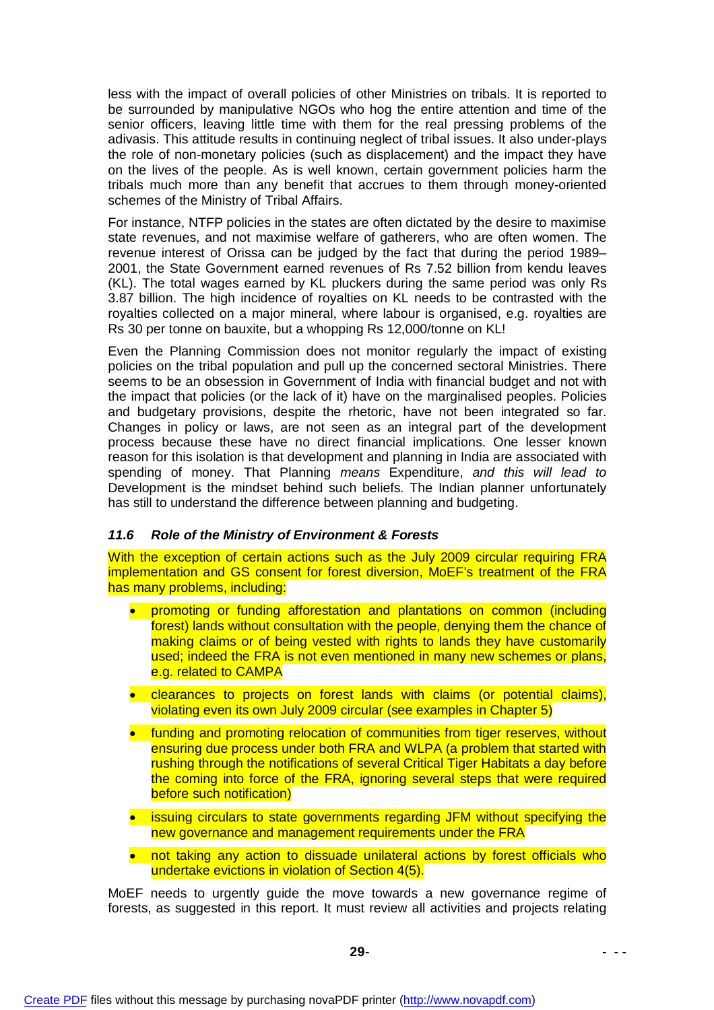less with the impact of overall policies of other Ministries on tribals. It is reported to be surrounded by manipulative NGOs who hog the entire attention and time of the senior officers, leaving little time with them for the real pressing problems of the adivasis. This attitude results in continuing neglect of tribal issues. It also under-plays the role of non-monetary policies (such as displacement) and the impact they have on the lives of the people. As is well known, certain government policies harm the tribals much more than any benefit that accrues to them through money-oriented schemes of the Ministry of Tribal Affairs.

For instance, NTFP policies in the states are often dictated by the desire to maximise state revenues, and not maximise welfare of gatherers, who are often women. The revenue interest of Orissa can be judged by the fact that during the period 1989– 2001, the State Government earned revenues of Rs 7.52 billion from kendu leaves (KL). The total wages earned by KL pluckers during the same period was only Rs 3.87 billion. The high incidence of royalties on KL needs to be contrasted with the royalties collected on a major mineral, where labour is organised, e.g. royalties are Rs 30 per tonne on bauxite, but a whopping Rs 12,000/tonne on KL!

Even the Planning Commission does not monitor regularly the impact of existing policies on the tribal population and pull up the concerned sectoral Ministries. There seems to be an obsession in Government of India with financial budget and not with the impact that policies (or the lack of it) have on the marginalised peoples. Policies and budgetary provisions, despite the rhetoric, have not been integrated so far. Changes in policy or laws, are not seen as an integral part of the development process because these have no direct financial implications. One lesser known reason for this isolation is that development and planning in India are associated with spending of money. That Planning *means* Expenditure, *and this will lead to* Development is the mindset behind such beliefs. The Indian planner unfortunately has still to understand the difference between planning and budgeting.

#### *11.6 Role of the Ministry of Environment & Forests*

With the exception of certain actions such as the July 2009 circular requiring FRA implementation and GS consent for forest diversion, MoEF's treatment of the FRA has many problems, including:

- promoting or funding afforestation and plantations on common (including forest) lands without consultation with the people, denying them the chance of making claims or of being vested with rights to lands they have customarily used; indeed the FRA is not even mentioned in many new schemes or plans, e.g. related to CAMPA
- clearances to projects on forest lands with claims (or potential claims), violating even its own July 2009 circular (see examples in Chapter 5)
- funding and promoting relocation of communities from tiger reserves, without ensuring due process under both FRA and WLPA (a problem that started with rushing through the notifications of several Critical Tiger Habitats a day before the coming into force of the FRA, ignoring several steps that were required before such notification)
- issuing circulars to state governments regarding JFM without specifying the new governance and management requirements under the FRA
- not taking any action to dissuade unilateral actions by forest officials who undertake evictions in violation of Section 4(5).

MoEF needs to urgently guide the move towards a new governance regime of forests, as suggested in this report. It must review all activities and projects relating